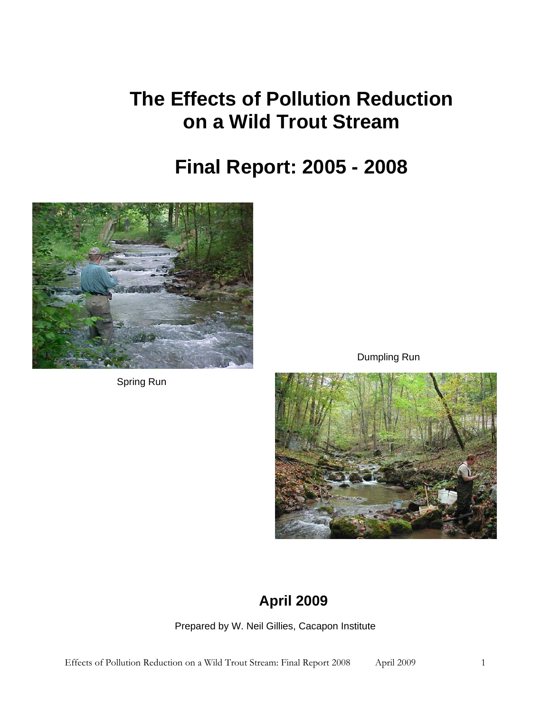# **The Effects of Pollution Reduction on a Wild Trout Stream**

# **Final Report: 2005 - 2008**



Spring Run

Dumpling Run



# **April 2009**

Prepared by W. Neil Gillies, Cacapon Institute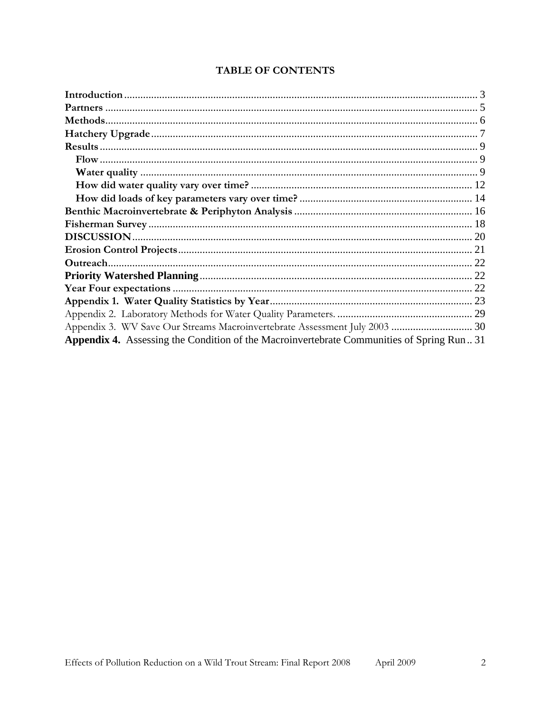| Appendix 3. WV Save Our Streams Macroinvertebrate Assessment July 2003  30                 |  |
|--------------------------------------------------------------------------------------------|--|
| Appendix 4. Assessing the Condition of the Macroinvertebrate Communities of Spring Run. 31 |  |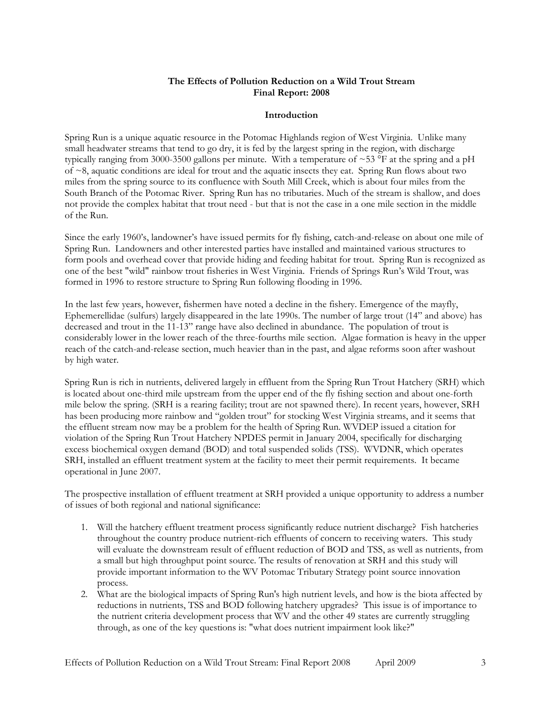## **The Effects of Pollution Reduction on a Wild Trout Stream Final Report: 2008**

### **Introduction**

<span id="page-2-1"></span><span id="page-2-0"></span>Spring Run is a unique aquatic resource in the Potomac Highlands region of West Virginia. Unlike many small headwater streams that tend to go dry, it is fed by the largest spring in the region, with discharge typically ranging from 3000-3500 gallons per minute. With a temperature of  $\sim$ 53 °F at the spring and a pH of  $\sim$ 8, aquatic conditions are ideal for trout and the aquatic insects they eat. Spring Run flows about two miles from the spring source to its confluence with South Mill Creek, which is about four miles from the South Branch of the Potomac River. Spring Run has no tributaries. Much of the stream is shallow, and does not provide the complex habitat that trout need - but that is not the case in a one mile section in the middle of the Run.

Since the early 1960's, landowner's have issued permits for fly fishing, catch-and-release on about one mile of Spring Run. Landowners and other interested parties have installed and maintained various structures to form pools and overhead cover that provide hiding and feeding habitat for trout. Spring Run is recognized as one of the best "wild" rainbow trout fisheries in West Virginia. Friends of Springs Run's Wild Trout, was formed in 1996 to restore structure to Spring Run following flooding in 1996.

In the last few years, however, fishermen have noted a decline in the fishery. Emergence of the mayfly, Ephemerellidae (sulfurs) largely disappeared in the late 1990s. The number of large trout (14" and above) has decreased and trout in the 11-13" range have also declined in abundance. The population of trout is considerably lower in the lower reach of the three-fourths mile section. Algae formation is heavy in the upper reach of the catch-and-release section, much heavier than in the past, and algae reforms soon after washout by high water.

Spring Run is rich in nutrients, delivered largely in effluent from the Spring Run Trout Hatchery (SRH) which is located about one-third mile upstream from the upper end of the fly fishing section and about one-forth mile below the spring. (SRH is a rearing facility; trout are not spawned there). In recent years, however, SRH has been producing more rainbow and "golden trout" for stocking West Virginia streams, and it seems that the effluent stream now may be a problem for the health of Spring Run. WVDEP issued a citation for violation of the Spring Run Trout Hatchery NPDES permit in January 2004, specifically for discharging excess biochemical oxygen demand (BOD) and total suspended solids (TSS). WVDNR, which operates SRH, installed an effluent treatment system at the facility to meet their permit requirements. It became operational in June 2007.

The prospective installation of effluent treatment at SRH provided a unique opportunity to address a number of issues of both regional and national significance:

- 1. Will the hatchery effluent treatment process significantly reduce nutrient discharge? Fish hatcheries throughout the country produce nutrient-rich effluents of concern to receiving waters. This study will evaluate the downstream result of effluent reduction of BOD and TSS, as well as nutrients, from a small but high throughput point source. The results of renovation at SRH and this study will provide important information to the WV Potomac Tributary Strategy point source innovation process.
- 2. What are the biological impacts of Spring Run's high nutrient levels, and how is the biota affected by reductions in nutrients, TSS and BOD following hatchery upgrades? This issue is of importance to the nutrient criteria development process that WV and the other 49 states are currently struggling through, as one of the key questions is: "what does nutrient impairment look like?"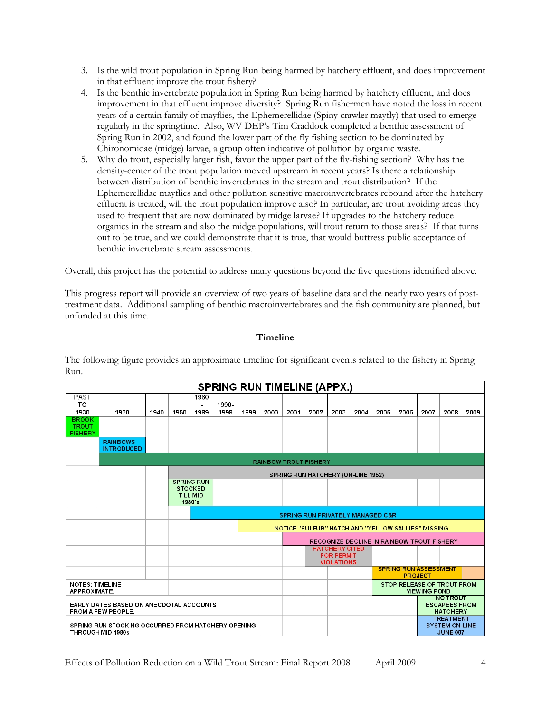- 3. Is the wild trout population in Spring Run being harmed by hatchery effluent, and does improvement in that effluent improve the trout fishery?
- 4. Is the benthic invertebrate population in Spring Run being harmed by hatchery effluent, and does improvement in that effluent improve diversity? Spring Run fishermen have noted the loss in recent years of a certain family of mayflies, the Ephemerellidae (Spiny crawler mayfly) that used to emerge regularly in the springtime. Also, WV DEP's Tim Craddock completed a benthic assessment of Spring Run in 2002, and found the lower part of the fly fishing section to be dominated by Chironomidae (midge) larvae, a group often indicative of pollution by organic waste.
- 5. Why do trout, especially larger fish, favor the upper part of the fly-fishing section? Why has the density-center of the trout population moved upstream in recent years? Is there a relationship between distribution of benthic invertebrates in the stream and trout distribution? If the Ephemerellidae mayflies and other pollution sensitive macroinvertebrates rebound after the hatchery effluent is treated, will the trout population improve also? In particular, are trout avoiding areas they used to frequent that are now dominated by midge larvae? If upgrades to the hatchery reduce organics in the stream and also the midge populations, will trout return to those areas? If that turns out to be true, and we could demonstrate that it is true, that would buttress public acceptance of benthic invertebrate stream assessments.

Overall, this project has the potential to address many questions beyond the five questions identified above.

This progress report will provide an overview of two years of baseline data and the nearly two years of posttreatment data. Additional sampling of benthic macroinvertebrates and the fish community are planned, but unfunded at this time.

# **Timeline**

The following figure provides an approximate timeline for significant events related to the fishery in Spring Run.

|                                                                         |                                                               |                                                |                                                                  |              | <b>SPRING RUN TIMELINE (APPX.)</b> |      |      |                              |      |                                                                 |                                                   |      |      |      |                                                              |      |
|-------------------------------------------------------------------------|---------------------------------------------------------------|------------------------------------------------|------------------------------------------------------------------|--------------|------------------------------------|------|------|------------------------------|------|-----------------------------------------------------------------|---------------------------------------------------|------|------|------|--------------------------------------------------------------|------|
| <b>PAST</b><br>TO<br>1930                                               | 1930                                                          | 1940                                           | 1950                                                             | 1960<br>1989 | 1990-<br>1998                      | 1999 | 2000 | 2001                         | 2002 | 2003                                                            | 2004                                              | 2005 | 2006 | 2007 | 2008                                                         | 2009 |
| <b>BROOK</b><br><b>TROUT</b><br><b>FISHERY</b>                          |                                                               |                                                |                                                                  |              |                                    |      |      |                              |      |                                                                 |                                                   |      |      |      |                                                              |      |
|                                                                         | <b>RAINBOWS</b><br><b>INTRODUCED</b>                          |                                                |                                                                  |              |                                    |      |      |                              |      |                                                                 |                                                   |      |      |      |                                                              |      |
|                                                                         |                                                               |                                                |                                                                  |              |                                    |      |      | <b>RAINBOW TROUT FISHERY</b> |      |                                                                 |                                                   |      |      |      |                                                              |      |
|                                                                         |                                                               |                                                |                                                                  |              |                                    |      |      |                              |      | SPRING RUN HATCHERY (ON-LINE 1952)                              |                                                   |      |      |      |                                                              |      |
|                                                                         |                                                               |                                                | <b>SPRING RUN</b><br><b>STOCKED</b><br><b>TILL MID</b><br>1980's |              |                                    |      |      |                              |      |                                                                 |                                                   |      |      |      |                                                              |      |
|                                                                         |                                                               |                                                | <b>SPRING RUN PRIVATELY MANAGED C&amp;R</b>                      |              |                                    |      |      |                              |      |                                                                 |                                                   |      |      |      |                                                              |      |
|                                                                         |                                                               |                                                |                                                                  |              |                                    |      |      |                              |      | <b>NOTICE "SULFUR" HATCH AND "YELLOW SALLIES" MISSING</b>       |                                                   |      |      |      |                                                              |      |
|                                                                         |                                                               |                                                |                                                                  |              |                                    |      |      |                              |      | RECOGNIZE DECLINE IN RAINBOW TROUT FISHERY                      |                                                   |      |      |      |                                                              |      |
|                                                                         |                                                               |                                                |                                                                  |              |                                    |      |      |                              |      | <b>HATCHERY CITED</b><br><b>FOR PERMIT</b><br><b>VIOLATIONS</b> |                                                   |      |      |      |                                                              |      |
|                                                                         |                                                               | <b>SPRING RUN ASSESSMENT</b><br><b>PROJECT</b> |                                                                  |              |                                    |      |      |                              |      |                                                                 |                                                   |      |      |      |                                                              |      |
| <b>NOTES: TIMELINE</b><br>APPROXIMATE.                                  |                                                               |                                                |                                                                  |              |                                    |      |      |                              |      |                                                                 | STOP RELEASE OF TROUT FROM<br><b>VIEWING POND</b> |      |      |      |                                                              |      |
|                                                                         | EARLY DATES BASED ON ANECDOTAL ACCOUNTS<br>FROM A FEW PEOPLE. |                                                |                                                                  |              |                                    |      |      |                              |      |                                                                 |                                                   |      |      |      | <b>NO TROUT</b><br><b>ESCAPEES FROM</b><br><b>HATCHERY</b>   |      |
| SPRING RUN STOCKING OCCURRED FROM HATCHERY OPENING<br>THROUGH MID 1980s |                                                               |                                                |                                                                  |              |                                    |      |      |                              |      |                                                                 |                                                   |      |      |      | <b>TREATMENT</b><br><b>SYSTEM ON-LINE</b><br><b>JUNE 007</b> |      |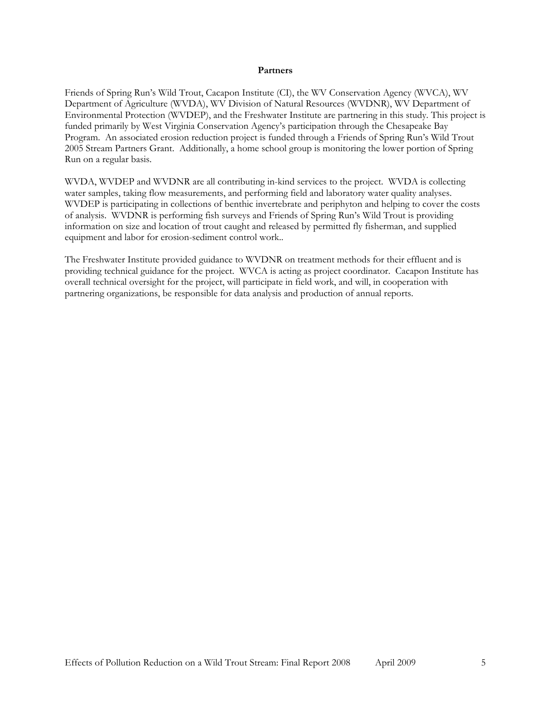#### **Partners**

<span id="page-4-1"></span><span id="page-4-0"></span>Friends of Spring Run's Wild Trout, Cacapon Institute (CI), the WV Conservation Agency (WVCA), WV Department of Agriculture (WVDA), WV Division of Natural Resources (WVDNR), WV Department of Environmental Protection (WVDEP), and the Freshwater Institute are partnering in this study. This project is funded primarily by West Virginia Conservation Agency's participation through the Chesapeake Bay Program. An associated erosion reduction project is funded through a Friends of Spring Run's Wild Trout 2005 Stream Partners Grant. Additionally, a home school group is monitoring the lower portion of Spring Run on a regular basis.

WVDA, WVDEP and WVDNR are all contributing in-kind services to the project. WVDA is collecting water samples, taking flow measurements, and performing field and laboratory water quality analyses. WVDEP is participating in collections of benthic invertebrate and periphyton and helping to cover the costs of analysis. WVDNR is performing fish surveys and Friends of Spring Run's Wild Trout is providing information on size and location of trout caught and released by permitted fly fisherman, and supplied equipment and labor for erosion-sediment control work..

The Freshwater Institute provided guidance to WVDNR on treatment methods for their effluent and is providing technical guidance for the project. WVCA is acting as project coordinator. Cacapon Institute has overall technical oversight for the project, will participate in field work, and will, in cooperation with partnering organizations, be responsible for data analysis and production of annual reports.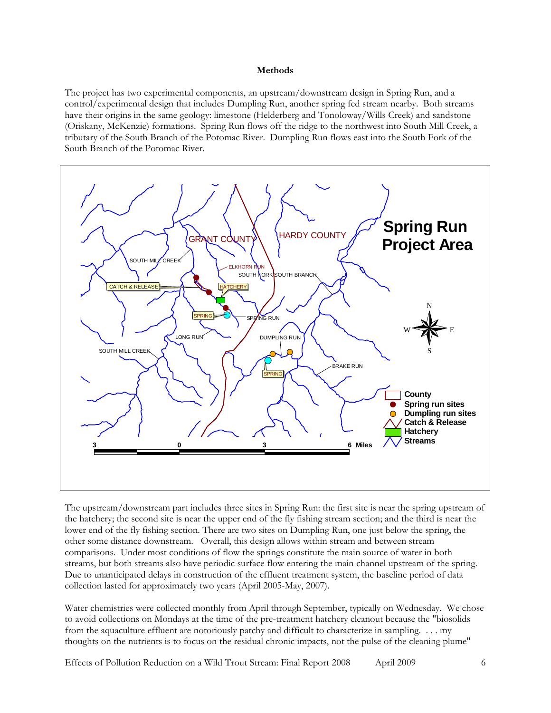#### **Methods**

<span id="page-5-1"></span><span id="page-5-0"></span>The project has two experimental components, an upstream/downstream design in Spring Run, and a control/experimental design that includes Dumpling Run, another spring fed stream nearby. Both streams have their origins in the same geology: limestone (Helderberg and Tonoloway/Wills Creek) and sandstone (Oriskany, McKenzie) formations. Spring Run flows off the ridge to the northwest into South Mill Creek, a tributary of the South Branch of the Potomac River. Dumpling Run flows east into the South Fork of the South Branch of the Potomac River.



The upstream/downstream part includes three sites in Spring Run: the first site is near the spring upstream of the hatchery; the second site is near the upper end of the fly fishing stream section; and the third is near the lower end of the fly fishing section. There are two sites on Dumpling Run, one just below the spring, the other some distance downstream. Overall, this design allows within stream and between stream comparisons. Under most conditions of flow the springs constitute the main source of water in both streams, but both streams also have periodic surface flow entering the main channel upstream of the spring. Due to unanticipated delays in construction of the effluent treatment system, the baseline period of data collection lasted for approximately two years (April 2005-May, 2007).

Water chemistries were collected monthly from April through September, typically on Wednesday. We chose to avoid collections on Mondays at the time of the pre-treatment hatchery cleanout because the "biosolids from the aquaculture effluent are notoriously patchy and difficult to characterize in sampling. . . . my thoughts on the nutrients is to focus on the residual chronic impacts, not the pulse of the cleaning plume"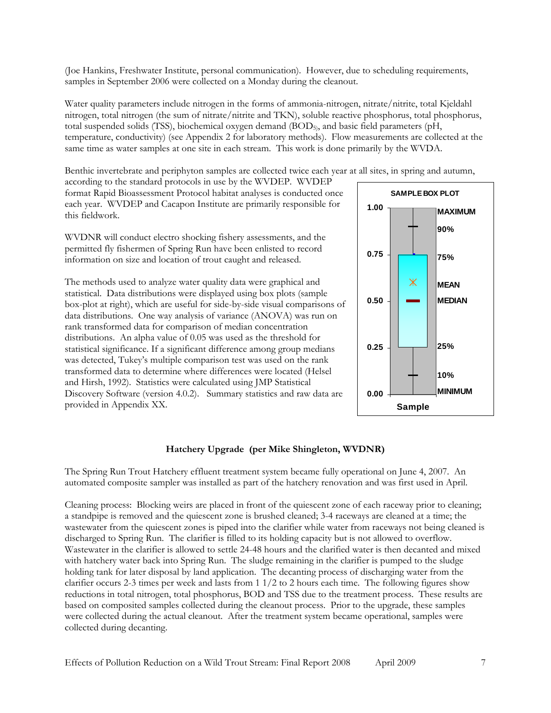<span id="page-6-0"></span>(Joe Hankins, Freshwater Institute, personal communication). However, due to scheduling requirements, samples in September 2006 were collected on a Monday during the cleanout.

Water quality parameters include nitrogen in the forms of ammonia-nitrogen, nitrate/nitrite, total Kjeldahl nitrogen, total nitrogen (the sum of nitrate/nitrite and TKN), soluble reactive phosphorus, total phosphorus, total suspended solids (TSS), biochemical oxygen demand (BOD5), and basic field parameters (pH, temperature, conductivity) (see Appendix 2 for laboratory methods). Flow measurements are collected at the same time as water samples at one site in each stream. This work is done primarily by the WVDA.

Benthic invertebrate and periphyton samples are collected twice each year at all sites, in spring and autumn,

according to the standard protocols in use by the WVDEP. WVDEP format Rapid Bioassessment Protocol habitat analyses is conducted once each year. WVDEP and Cacapon Institute are primarily responsible for this fieldwork.

WVDNR will conduct electro shocking fishery assessments, and the permitted fly fishermen of Spring Run have been enlisted to record information on size and location of trout caught and released.

The methods used to analyze water quality data were graphical and statistical. Data distributions were displayed using box plots (sample box-plot at right), which are useful for side-by-side visual comparisons of data distributions. One way analysis of variance (ANOVA) was run on rank transformed data for comparison of median concentration distributions. An alpha value of 0.05 was used as the threshold for statistical significance. If a significant difference among group medians was detected, Tukey's multiple comparison test was used on the rank transformed data to determine where differences were located (Helsel and Hirsh, 1992). Statistics were calculated using JMP Statistical Discovery Software (version 4.0.2). Summary statistics and raw data are provided in Appendix XX.



# **Hatchery Upgrade (per Mike Shingleton, WVDNR)**

<span id="page-6-1"></span>The Spring Run Trout Hatchery effluent treatment system became fully operational on June 4, 2007. An automated composite sampler was installed as part of the hatchery renovation and was first used in April.

Cleaning process: Blocking weirs are placed in front of the quiescent zone of each raceway prior to cleaning; a standpipe is removed and the quiescent zone is brushed cleaned; 3-4 raceways are cleaned at a time; the wastewater from the quiescent zones is piped into the clarifier while water from raceways not being cleaned is discharged to Spring Run. The clarifier is filled to its holding capacity but is not allowed to overflow. Wastewater in the clarifier is allowed to settle 24-48 hours and the clarified water is then decanted and mixed with hatchery water back into Spring Run. The sludge remaining in the clarifier is pumped to the sludge holding tank for later disposal by land application. The decanting process of discharging water from the clarifier occurs 2-3 times per week and lasts from  $1/2$  to 2 hours each time. The following figures show reductions in total nitrogen, total phosphorus, BOD and TSS due to the treatment process. These results are based on composited samples collected during the cleanout process. Prior to the upgrade, these samples were collected during the actual cleanout. After the treatment system became operational, samples were collected during decanting.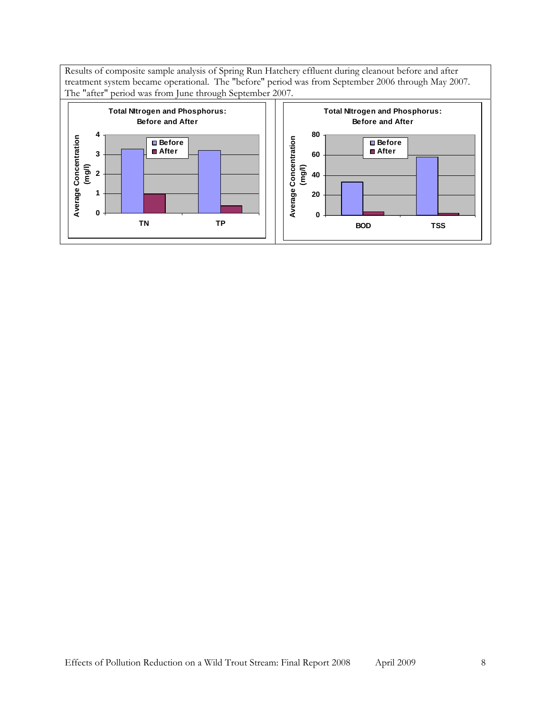Results of composite sample analysis of Spring Run Hatchery effluent during cleanout before and after treatment system became operational. The "before" period was from September 2006 through May 2007. The "after" period was from June through September 2007.

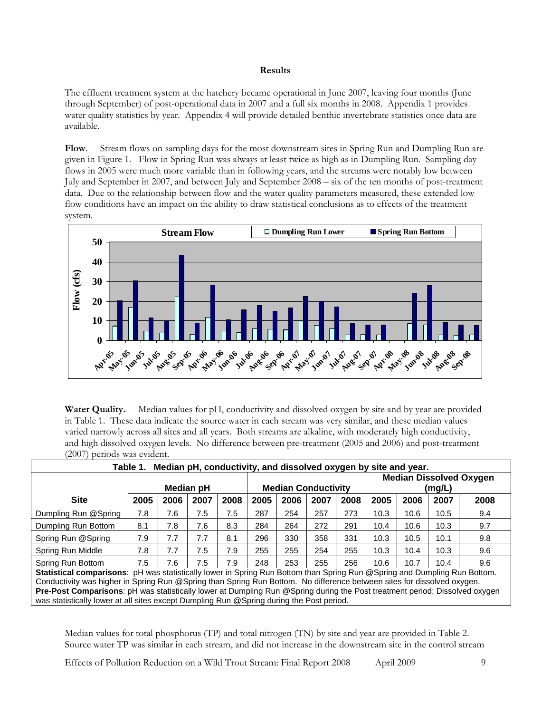#### **Results**

<span id="page-8-1"></span><span id="page-8-0"></span>The effluent treatment system at the hatchery became operational in June 2007, leaving four months (June through September) of post-operational data in 2007 and a full six months in 2008. Appendix 1 provides water quality statistics by year. Appendix 4 will provide detailed benthic invertebrate statistics once data are available.

<span id="page-8-2"></span>**Flow**.Stream flows on sampling days for the most downstream sites in Spring Run and Dumpling Run are given in Figure 1. Flow in Spring Run was always at least twice as high as in Dumpling Run. Sampling day flows in 2005 were much more variable than in following years, and the streams were notably low between July and September in 2007, and between July and September 2008 – six of the ten months of post-treatment data. Due to the relationship between flow and the water quality parameters measured, these extended low flow conditions have an impact on the ability to draw statistical conclusions as to effects of the treatment system.



**Water Quality.** Median values for pH, conductivity and dissolved oxygen by site and by year are provided in Table 1. These data indicate the source water in each stream was very similar, and these median values varied narrowly across all sites and all years. Both streams are alkaline, with moderately high conductivity, and high dissolved oxygen levels. No difference between pre-treatment (2005 and 2006) and post-treatment (2007) periods was evident.

<span id="page-8-3"></span>

| Median pH, conductivity, and dissolved oxygen by site and year.<br>Table 1.                                                      |      |      |                  |      |                            |      |      |      |                                |      |      |      |
|----------------------------------------------------------------------------------------------------------------------------------|------|------|------------------|------|----------------------------|------|------|------|--------------------------------|------|------|------|
|                                                                                                                                  |      |      |                  |      |                            |      |      |      | <b>Median Dissolved Oxygen</b> |      |      |      |
|                                                                                                                                  |      |      | <b>Median pH</b> |      | <b>Median Conductivity</b> |      |      |      | (mg/L)                         |      |      |      |
| <b>Site</b>                                                                                                                      | 2005 | 2006 | 2007             | 2008 | 2005                       | 2006 | 2007 | 2008 | 2005                           | 2006 | 2007 | 2008 |
| Dumpling Run @Spring                                                                                                             | 7.8  | 7.6  | 7.5              | 7.5  | 287                        | 254  | 257  | 273  | 10.3                           | 10.6 | 10.5 | 9.4  |
| Dumpling Run Bottom                                                                                                              | 8.1  | 7.8  | 7.6              | 8.3  | 284                        | 264  | 272  | 291  | 10.4                           | 10.6 | 10.3 | 9.7  |
| Spring Run @Spring                                                                                                               | 7.9  | 7.7  | 7.7              | 8.1  | 296                        | 330  | 358  | 331  | 10.3                           | 10.5 | 10.1 | 9.8  |
| Spring Run Middle                                                                                                                | 7.8  | 7.7  | 7.5              | 7.9  | 255                        | 255  | 254  | 255  | 10.3                           | 10.4 | 10.3 | 9.6  |
| Spring Run Bottom                                                                                                                | 7.5  | 7.6  | 7.5              | 7.9  | 248                        | 253  | 255  | 256  | 10.6                           | 10.7 | 10.4 | 9.6  |
| <b>Statistical comparisons:</b> pH was statistically lower in Spring Run Bottom than Spring Run @Spring and Dumpling Run Bottom. |      |      |                  |      |                            |      |      |      |                                |      |      |      |
| Conductivity was higher in Spring Run @Spring than Spring Run Bottom. No difference between sites for dissolved oxygen.          |      |      |                  |      |                            |      |      |      |                                |      |      |      |
| Pre-Post Comparisons: pH was statistically lower at Dumpling Run @Spring during the Post treatment period; Dissolved oxygen      |      |      |                  |      |                            |      |      |      |                                |      |      |      |
| was statistically lower at all sites except Dumpling Run @ Spring during the Post period.                                        |      |      |                  |      |                            |      |      |      |                                |      |      |      |

Median values for total phosphorus (TP) and total nitrogen (TN) by site and year are provided in Table 2. Source water TP was similar in each stream, and did not increase in the downstream site in the control stream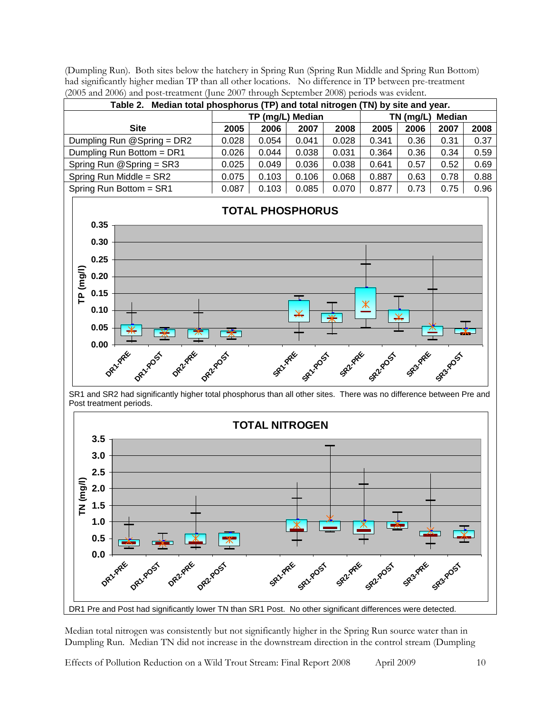(Dumpling Run). Both sites below the hatchery in Spring Run (Spring Run Middle and Spring Run Bottom) had significantly higher median TP than all other locations. No difference in TP between pre-treatment (2005 and 2006) and post-treatment (June 2007 through September 2008) periods was evident.

| Median total phosphorus (TP) and total nitrogen (TN) by site and year.<br>Table 2. |       |       |                  |             |        |      |      |      |  |  |  |
|------------------------------------------------------------------------------------|-------|-------|------------------|-------------|--------|------|------|------|--|--|--|
|                                                                                    |       |       | TP (mg/L) Median | $TN$ (mg/L) | Median |      |      |      |  |  |  |
| <b>Site</b>                                                                        | 2005  | 2006  | 2007             | 2008        | 2005   | 2006 | 2007 | 2008 |  |  |  |
| Dumpling Run @Spring = DR2                                                         | 0.028 | 0.054 | 0.041            | 0.028       | 0.341  | 0.36 | 0.31 | 0.37 |  |  |  |
| Dumpling Run Bottom = DR1                                                          | 0.026 | 0.044 | 0.038            | 0.031       | 0.364  | 0.36 | 0.34 | 0.59 |  |  |  |
| Spring Run @Spring = SR3                                                           | 0.025 | 0.049 | 0.036            | 0.038       | 0.641  | 0.57 | 0.52 | 0.69 |  |  |  |
| Spring Run Middle = SR2                                                            | 0.075 | 0.103 | 0.106            | 0.068       | 0.887  | 0.63 | 0.78 | 0.88 |  |  |  |
| Spring Run Bottom = SR1                                                            | 0.087 | 0.103 | 0.085            | 0.070       | 0.877  | 0.73 | 0.75 | 0.96 |  |  |  |



SR1 and SR2 had significantly higher total phosphorus than all other sites. There was no difference between Pre and Post treatment periods.



Median total nitrogen was consistently but not significantly higher in the Spring Run source water than in Dumpling Run. Median TN did not increase in the downstream direction in the control stream (Dumpling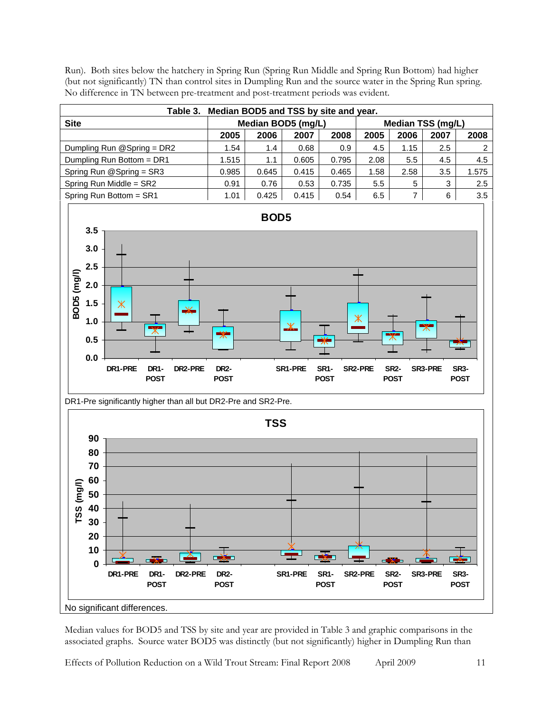

Run). Both sites below the hatchery in Spring Run (Spring Run Middle and Spring Run Bottom) had higher (but not significantly) TN than control sites in Dumpling Run and the source water in the Spring Run spring. No difference in TN between pre-treatment and post-treatment periods was evident.

Median values for BOD5 and TSS by site and year are provided in Table 3 and graphic comparisons in the associated graphs. Source water BOD5 was distinctly (but not significantly) higher in Dumpling Run than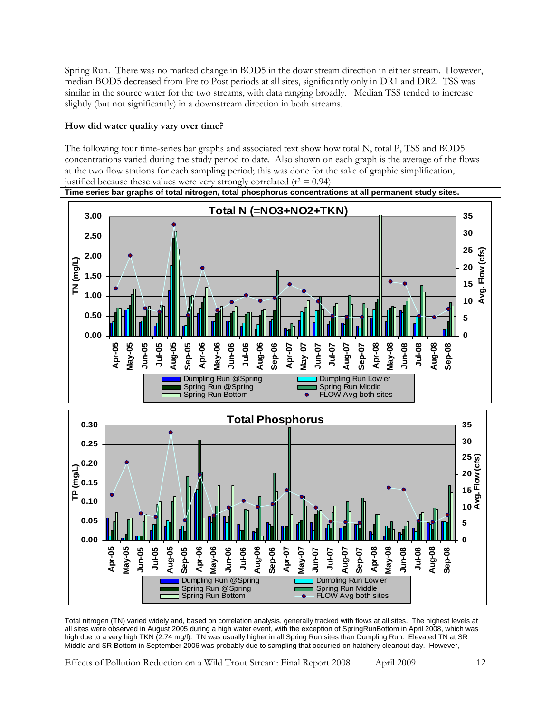<span id="page-11-0"></span>Spring Run. There was no marked change in BOD5 in the downstream direction in either stream. However, median BOD5 decreased from Pre to Post periods at all sites, significantly only in DR1 and DR2. TSS was similar in the source water for the two streams, with data ranging broadly. Median TSS tended to increase slightly (but not significantly) in a downstream direction in both streams.

# <span id="page-11-1"></span>**How did water quality vary over time?**

The following four time-series bar graphs and associated text show how total N, total P, TSS and BOD5 concentrations varied during the study period to date. Also shown on each graph is the average of the flows at the two flow stations for each sampling period; this was done for the sake of graphic simplification, justified because these values were very strongly correlated ( $r^2 = 0.94$ ).



Total nitrogen (TN) varied widely and, based on correlation analysis, generally tracked with flows at all sites. The highest levels at all sites were observed in August 2005 during a high water event, with the exception of SpringRunBottom in April 2008, which was high due to a very high TKN (2.74 mg/l). TN was usually higher in all Spring Run sites than Dumpling Run. Elevated TN at SR Middle and SR Bottom in September 2006 was probably due to sampling that occurred on hatchery cleanout day. However,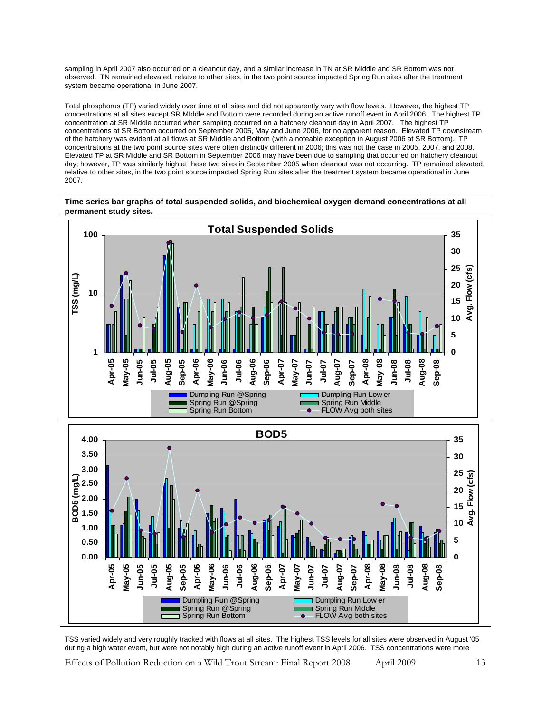sampling in April 2007 also occurred on a cleanout day, and a similar increase in TN at SR Middle and SR Bottom was not observed. TN remained elevated, relatve to other sites, in the two point source impacted Spring Run sites after the treatment system became operational in June 2007.

Total phosphorus (TP) varied widely over time at all sites and did not apparently vary with flow levels. However, the highest TP concentrations at all sites except SR MIddle and Bottom were recorded during an active runoff event in April 2006. The highest TP concentration at SR MIddle occurred when sampling occurred on a hatchery cleanout day in April 2007. The highest TP concentrations at SR Bottom occurred on September 2005, May and June 2006, for no apparent reason. Elevated TP downstream of the hatchery was evident at all flows at SR Middle and Bottom (with a noteable exception in August 2006 at SR Bottom). TP concentrations at the two point source sites were often distinctly different in 2006; this was not the case in 2005, 2007, and 2008. Elevated TP at SR Middle and SR Bottom in September 2006 may have been due to sampling that occurred on hatchery cleanout day; however, TP was similarly high at these two sites in September 2005 when cleanout was not occurring. TP remained elevated, relative to other sites, in the two point source impacted Spring Run sites after the treatment system became operational in June 2007.



TSS varied widely and very roughly tracked with flows at all sites. The highest TSS levels for all sites were observed in August '05 during a high water event, but were not notably high during an active runoff event in April 2006. TSS concentrations were more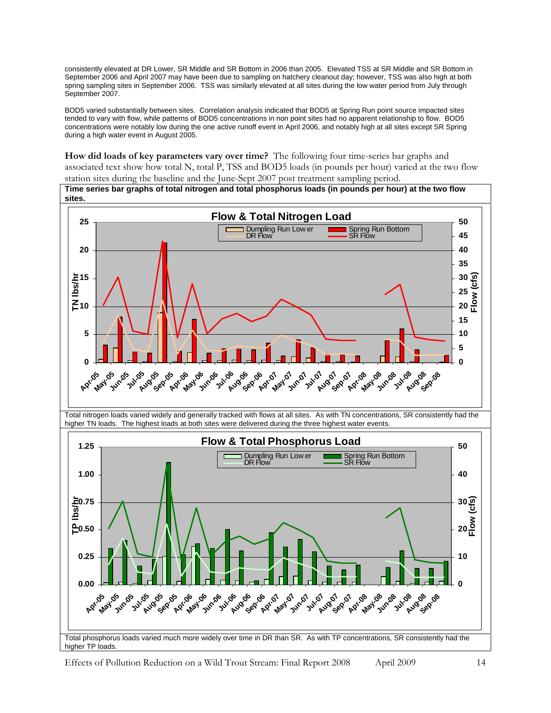<span id="page-13-0"></span>consistently elevated at DR Lower, SR Middle and SR Bottom in 2006 than 2005. Elevated TSS at SR Middle and SR Bottom in September 2006 and April 2007 may have been due to sampling on hatchery cleanout day; however, TSS was also high at both spring sampling sites in September 2006. TSS was similarly elevated at all sites during the low water period from July through September 2007.

BOD5 varied substantially between sites. Correlation analysis indicated that BOD5 at Spring Run point source impacted sites tended to vary with flow, while patterns of BOD5 concentrations in non point sites had no apparent relationship to flow. BOD5 concentrations were notably low during the one active runoff event in April 2006, and notably high at all sites except SR Spring during a high water event in August 2005.

**How did loads of key parameters vary over time?** The following four time-series bar graphs and associated text show how total N, total P, TSS and BOD5 loads (in pounds per hour) varied at the two flow

<span id="page-13-1"></span>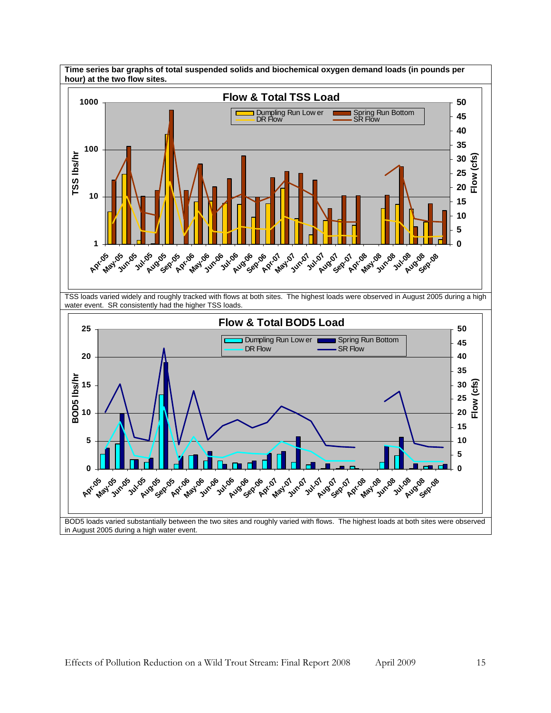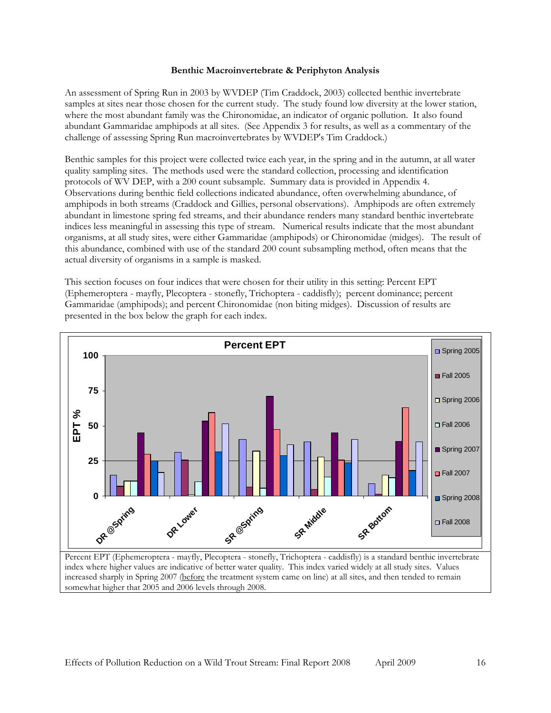#### **Benthic Macroinvertebrate & Periphyton Analysis**

<span id="page-15-1"></span><span id="page-15-0"></span>An assessment of Spring Run in 2003 by WVDEP (Tim Craddock, 2003) collected benthic invertebrate samples at sites near those chosen for the current study. The study found low diversity at the lower station, where the most abundant family was the Chironomidae, an indicator of organic pollution. It also found abundant Gammaridae amphipods at all sites. (See Appendix 3 for results, as well as a commentary of the challenge of assessing Spring Run macroinvertebrates by WVDEP's Tim Craddock.)

Benthic samples for this project were collected twice each year, in the spring and in the autumn, at all water quality sampling sites. The methods used were the standard collection, processing and identification protocols of WV DEP, with a 200 count subsample. Summary data is provided in Appendix 4. Observations during benthic field collections indicated abundance, often overwhelming abundance, of amphipods in both streams (Craddock and Gillies, personal observations). Amphipods are often extremely abundant in limestone spring fed streams, and their abundance renders many standard benthic invertebrate indices less meaningful in assessing this type of stream. Numerical results indicate that the most abundant organisms, at all study sites, were either Gammaridae (amphipods) or Chironomidae (midges). The result of this abundance, combined with use of the standard 200 count subsampling method, often means that the actual diversity of organisms in a sample is masked.

This section focuses on four indices that were chosen for their utility in this setting: Percent EPT (Ephemeroptera - mayfly, Plecoptera - stonefly, Trichoptera - caddisfly); percent dominance; percent Gammaridae (amphipods); and percent Chironomidae (non biting midges). Discussion of results are presented in the box below the graph for each index.



somewhat higher that 2005 and 2006 levels through 2008.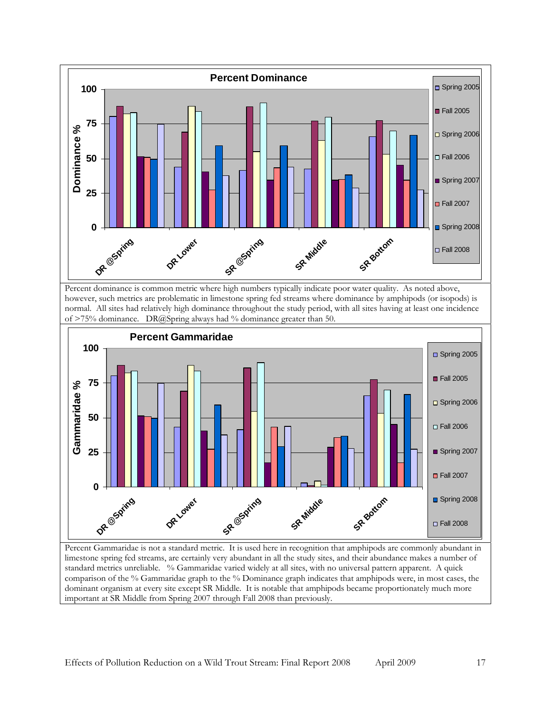

Percent dominance is common metric where high numbers typically indicate poor water quality. As noted above, however, such metrics are problematic in limestone spring fed streams where dominance by amphipods (or isopods) is normal. All sites had relatively high dominance throughout the study period, with all sites having at least one incidence of  $>75\%$  dominance. DR@Spring always had % dominance greater than 50.



limestone spring fed streams, are certainly very abundant in all the study sites, and their abundance makes a number of standard metrics unreliable. % Gammaridae varied widely at all sites, with no universal pattern apparent. A quick comparison of the % Gammaridae graph to the % Dominance graph indicates that amphipods were, in most cases, the dominant organism at every site except SR Middle. It is notable that amphipods became proportionately much more important at SR Middle from Spring 2007 through Fall 2008 than previously.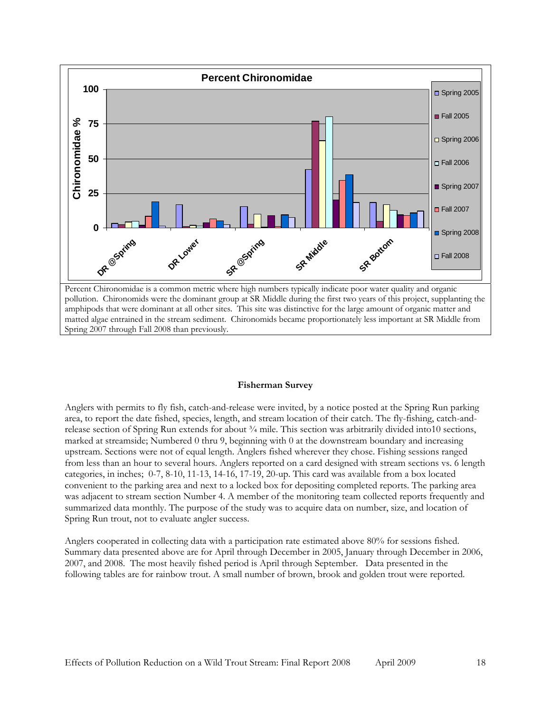<span id="page-17-0"></span>

pollution. Chironomids were the dominant group at SR Middle during the first two years of this project, supplanting the amphipods that were dominant at all other sites. This site was distinctive for the large amount of organic matter and matted algae entrained in the stream sediment. Chironomids became proportionately less important at SR Middle from Spring 2007 through Fall 2008 than previously.

#### **Fisherman Survey**

<span id="page-17-1"></span>Anglers with permits to fly fish, catch-and-release were invited, by a notice posted at the Spring Run parking area, to report the date fished, species, length, and stream location of their catch. The fly-fishing, catch-andrelease section of Spring Run extends for about ¾ mile. This section was arbitrarily divided into10 sections, marked at streamside; Numbered 0 thru 9, beginning with 0 at the downstream boundary and increasing upstream. Sections were not of equal length. Anglers fished wherever they chose. Fishing sessions ranged from less than an hour to several hours. Anglers reported on a card designed with stream sections vs. 6 length categories, in inches; 0-7, 8-10, 11-13, 14-16, 17-19, 20-up. This card was available from a box located convenient to the parking area and next to a locked box for depositing completed reports. The parking area was adjacent to stream section Number 4. A member of the monitoring team collected reports frequently and summarized data monthly. The purpose of the study was to acquire data on number, size, and location of Spring Run trout, not to evaluate angler success.

Anglers cooperated in collecting data with a participation rate estimated above 80% for sessions fished. Summary data presented above are for April through December in 2005, January through December in 2006, 2007, and 2008. The most heavily fished period is April through September. Data presented in the following tables are for rainbow trout. A small number of brown, brook and golden trout were reported.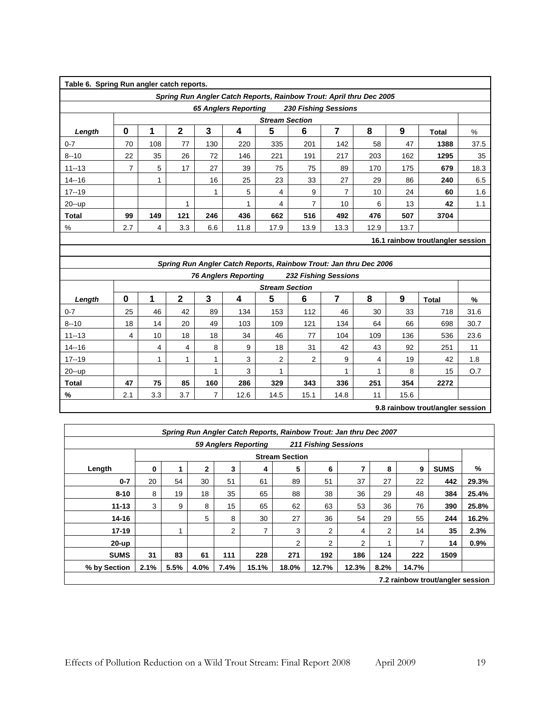| Table 6. Spring Run angler catch reports.                                      |     |     |     |     |                             |                                                                     |      |                             |      |      |      |      |
|--------------------------------------------------------------------------------|-----|-----|-----|-----|-----------------------------|---------------------------------------------------------------------|------|-----------------------------|------|------|------|------|
|                                                                                |     |     |     |     |                             | Spring Run Angler Catch Reports, Rainbow Trout: April thru Dec 2005 |      |                             |      |      |      |      |
|                                                                                |     |     |     |     | <b>65 Anglers Reporting</b> |                                                                     |      | <b>230 Fishing Sessions</b> |      |      |      |      |
| <b>Stream Section</b>                                                          |     |     |     |     |                             |                                                                     |      |                             |      |      |      |      |
| 0<br>$\mathbf{2}$<br>3<br>5<br>8<br>6<br>7<br>9<br>4<br>Length<br><b>Total</b> |     |     |     |     |                             |                                                                     |      |                             |      |      |      |      |
| $0 - 7$                                                                        | 70  | 108 | 77  | 130 | 220                         | 335                                                                 | 201  | 142                         | 58   | 47   | 1388 | 37.5 |
| $8 - 10$                                                                       | 22  | 35  | 26  | 72  | 146                         | 221                                                                 | 191  | 217                         | 203  | 162  | 1295 | 35   |
| $11 - 13$                                                                      | 7   | 5   | 17  | 27  | 39                          | 75                                                                  | 75   | 89                          | 170  | 175  | 679  | 18.3 |
| $14 - 16$                                                                      |     | 4   |     | 16  | 25                          | 23                                                                  | 33   | 27                          | 29   | 86   | 240  | 6.5  |
| $17 - 19$                                                                      |     |     |     |     | 5                           | 4                                                                   | 9    | 7                           | 10   | 24   | 60   | 1.6  |
| 20--up                                                                         |     |     |     |     |                             | 4                                                                   | 7    | 10                          | 6    | 13   | 42   | 1.1  |
| Total                                                                          | 99  | 149 | 121 | 246 | 436                         | 662                                                                 | 516  | 492                         | 476  | 507  | 3704 |      |
| %                                                                              | 2.7 | 4   | 3.3 | 6.6 | 11.8                        | 17.9                                                                | 13.9 | 13.3                        | 12.9 | 13.7 |      |      |
| 16.1 rainbow trout/angler session                                              |     |     |     |     |                             |                                                                     |      |                             |      |      |      |      |

*Spring Run Angler Catch Reports, Rainbow Trout: Jan thru Dec 2006 76 Anglers Reporting 232 Fishing Sessions* 

|                                  |     |     |     |     |      | <b>Stream Section</b> |      |      |     |      |       |      |
|----------------------------------|-----|-----|-----|-----|------|-----------------------|------|------|-----|------|-------|------|
| Length                           | 0   |     | 2   | 3   |      | 5                     | 6    |      | 8   | 9    | Total | %    |
| $0 - 7$                          | 25  | 46  | 42  | 89  | 134  | 153                   | 112  | 46   | 30  | 33   | 718   | 31.6 |
| $8 - 10$                         | 18  | 14  | 20  | 49  | 103  | 109                   | 121  | 134  | 64  | 66   | 698   | 30.7 |
| $11 - 13$                        | 4   | 10  | 18  | 18  | 34   | 46                    | 77   | 104  | 109 | 136  | 536   | 23.6 |
| $14 - 16$                        |     | 4   | 4   | 8   | 9    | 18                    | 31   | 42   | 43  | 92   | 251   | 11   |
| $17 - 19$                        |     |     |     |     | 3    | $\overline{2}$        | 2    | 9    | 4   | 19   | 42    | 1.8  |
| 20--up                           |     |     |     |     | 3    |                       |      | ◢    |     | 8    | 15    | O.7  |
| <b>Total</b>                     | 47  | 75  | 85  | 160 | 286  | 329                   | 343  | 336  | 251 | 354  | 2272  |      |
| %                                | 2.1 | 3.3 | 3.7 | ⇁   | 12.6 | 14.5                  | 15.1 | 14.8 | 11  | 15.6 |       |      |
| 9.8 rainbow trout/angler session |     |     |     |     |      |                       |      |      |     |      |       |      |

**9.8 rainbow trout/angler session** 

|       |             |                                                      |                       |       | <b>211 Fishing Sessions</b> |       | <b>59 Anglers Reporting</b> |      |      |      |      |              |  |  |
|-------|-------------|------------------------------------------------------|-----------------------|-------|-----------------------------|-------|-----------------------------|------|------|------|------|--------------|--|--|
|       |             |                                                      | <b>Stream Section</b> |       |                             |       |                             |      |      |      |      |              |  |  |
| $\%$  | <b>SUMS</b> | 6<br>$\mathbf{2}$<br>5<br>8<br>0<br>3<br>7<br>9<br>4 |                       |       |                             |       |                             |      |      |      |      | Length       |  |  |
| 29.3% | 442         | 22                                                   | 27                    | 37    | 51                          | 89    | 61                          | 51   | 30   | 54   | 20   | $0 - 7$      |  |  |
| 25.4% | 384         | 48                                                   | 29                    | 36    | 38                          | 88    | 65                          | 35   | 18   | 19   | 8    | $8 - 10$     |  |  |
| 25.8% | 390         | 76                                                   | 36                    | 53    | 63                          | 62    | 65                          | 15   | 8    | 9    | 3    | $11 - 13$    |  |  |
| 16.2% | 244         | 55                                                   | 29                    | 54    | 36                          | 27    | 30                          | 8    | 5    |      |      | $14 - 16$    |  |  |
| 2.3%  | 35          | 14                                                   | 2                     | 4     | $\overline{2}$              | 3     | 7                           | 2    |      | 1    |      | $17 - 19$    |  |  |
| 0.9%  | 14          | 7                                                    |                       | 2     | 2                           | 2     |                             |      |      |      |      | $20-up$      |  |  |
|       | 1509        | 222                                                  | 124                   | 186   | 192                         | 271   | 228                         | 111  | 61   | 83   | 31   | <b>SUMS</b>  |  |  |
|       |             | 14.7%                                                | 8.2%                  | 12.3% | 12.7%                       | 18.0% | 15.1%                       | 7.4% | 4.0% | 5.5% | 2.1% | % by Section |  |  |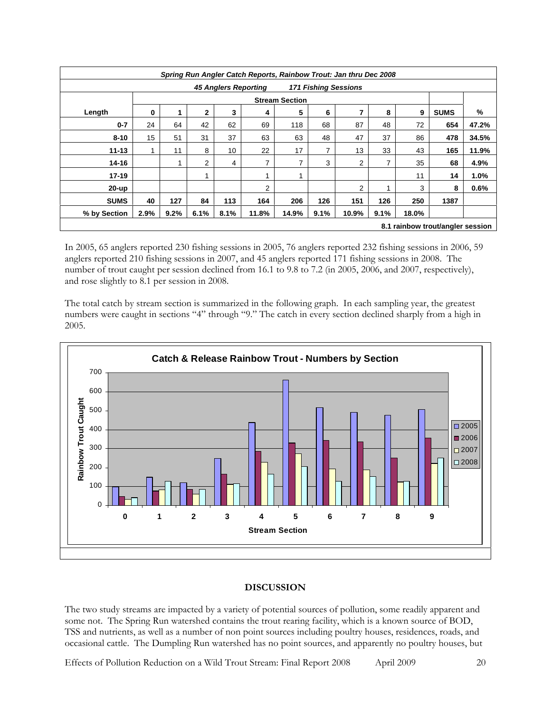<span id="page-19-0"></span>

|              | Spring Run Angler Catch Reports, Rainbow Trout: Jan thru Dec 2008 |                                                                     |      |      |       |       |      |                |      |       |      |       |
|--------------|-------------------------------------------------------------------|---------------------------------------------------------------------|------|------|-------|-------|------|----------------|------|-------|------|-------|
|              | <b>171 Fishing Sessions</b><br><b>45 Anglers Reporting</b>        |                                                                     |      |      |       |       |      |                |      |       |      |       |
|              |                                                                   |                                                                     |      |      |       |       |      |                |      |       |      |       |
| Length       | 0                                                                 | 5<br>$\mathbf{2}$<br>3<br>7<br>8<br><b>SUMS</b><br>6<br>9<br>1<br>4 |      |      |       |       |      |                |      |       |      | %     |
| $0 - 7$      | 24                                                                | 64                                                                  | 42   | 62   | 69    | 118   | 68   | 87             | 48   | 72    | 654  | 47.2% |
| $8 - 10$     | 15                                                                | 51                                                                  | 31   | 37   | 63    | 63    | 48   | 47             | 37   | 86    | 478  | 34.5% |
| $11 - 13$    |                                                                   | 11                                                                  | 8    | 10   | 22    | 17    | 7    | 13             | 33   | 43    | 165  | 11.9% |
| $14 - 16$    |                                                                   | 1                                                                   | 2    | 4    | 7     | 7     | 3    | $\overline{2}$ | 7    | 35    | 68   | 4.9%  |
| $17 - 19$    |                                                                   |                                                                     |      |      |       |       |      |                |      | 11    | 14   | 1.0%  |
| 20-up        |                                                                   |                                                                     |      |      | 2     |       |      | 2              | 4    | 3     | 8    | 0.6%  |
| <b>SUMS</b>  | 40                                                                | 127                                                                 | 84   | 113  | 164   | 206   | 126  | 151            | 126  | 250   | 1387 |       |
| % by Section | 2.9%                                                              | 9.2%                                                                | 6.1% | 8.1% | 11.8% | 14.9% | 9.1% | 10.9%          | 9.1% | 18.0% |      |       |
|              | 8.1 rainbow trout/angler session                                  |                                                                     |      |      |       |       |      |                |      |       |      |       |

In 2005, 65 anglers reported 230 fishing sessions in 2005, 76 anglers reported 232 fishing sessions in 2006, 59 anglers reported 210 fishing sessions in 2007, and 45 anglers reported 171 fishing sessions in 2008. The number of trout caught per session declined from 16.1 to 9.8 to 7.2 (in 2005, 2006, and 2007, respectively), and rose slightly to 8.1 per session in 2008.

The total catch by stream section is summarized in the following graph. In each sampling year, the greatest numbers were caught in sections "4" through "9." The catch in every section declined sharply from a high in 2005.



# **DISCUSSION**

<span id="page-19-1"></span>The two study streams are impacted by a variety of potential sources of pollution, some readily apparent and some not. The Spring Run watershed contains the trout rearing facility, which is a known source of BOD, TSS and nutrients, as well as a number of non point sources including poultry houses, residences, roads, and occasional cattle. The Dumpling Run watershed has no point sources, and apparently no poultry houses, but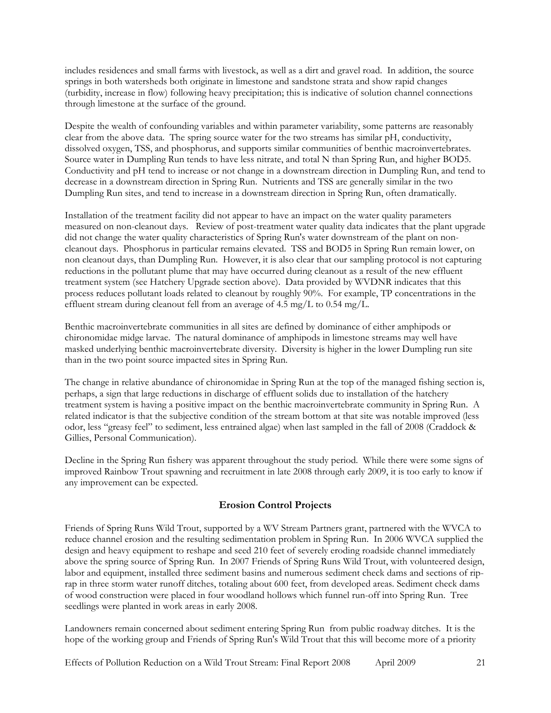<span id="page-20-0"></span>includes residences and small farms with livestock, as well as a dirt and gravel road. In addition, the source springs in both watersheds both originate in limestone and sandstone strata and show rapid changes (turbidity, increase in flow) following heavy precipitation; this is indicative of solution channel connections through limestone at the surface of the ground.

Despite the wealth of confounding variables and within parameter variability, some patterns are reasonably clear from the above data. The spring source water for the two streams has similar pH, conductivity, dissolved oxygen, TSS, and phosphorus, and supports similar communities of benthic macroinvertebrates. Source water in Dumpling Run tends to have less nitrate, and total N than Spring Run, and higher BOD5. Conductivity and pH tend to increase or not change in a downstream direction in Dumpling Run, and tend to decrease in a downstream direction in Spring Run. Nutrients and TSS are generally similar in the two Dumpling Run sites, and tend to increase in a downstream direction in Spring Run, often dramatically.

Installation of the treatment facility did not appear to have an impact on the water quality parameters measured on non-cleanout days. Review of post-treatment water quality data indicates that the plant upgrade did not change the water quality characteristics of Spring Run's water downstream of the plant on noncleanout days. Phosphorus in particular remains elevated. TSS and BOD5 in Spring Run remain lower, on non cleanout days, than Dumpling Run. However, it is also clear that our sampling protocol is not capturing reductions in the pollutant plume that may have occurred during cleanout as a result of the new effluent treatment system (see Hatchery Upgrade section above). Data provided by WVDNR indicates that this process reduces pollutant loads related to cleanout by roughly 90%. For example, TP concentrations in the effluent stream during cleanout fell from an average of 4.5 mg/L to 0.54 mg/L.

Benthic macroinvertebrate communities in all sites are defined by dominance of either amphipods or chironomidae midge larvae. The natural dominance of amphipods in limestone streams may well have masked underlying benthic macroinvertebrate diversity. Diversity is higher in the lower Dumpling run site than in the two point source impacted sites in Spring Run.

The change in relative abundance of chironomidae in Spring Run at the top of the managed fishing section is, perhaps, a sign that large reductions in discharge of effluent solids due to installation of the hatchery treatment system is having a positive impact on the benthic macroinvertebrate community in Spring Run. A related indicator is that the subjective condition of the stream bottom at that site was notable improved (less odor, less "greasy feel" to sediment, less entrained algae) when last sampled in the fall of 2008 (Craddock & Gillies, Personal Communication).

Decline in the Spring Run fishery was apparent throughout the study period. While there were some signs of improved Rainbow Trout spawning and recruitment in late 2008 through early 2009, it is too early to know if any improvement can be expected.

# **Erosion Control Projects**

<span id="page-20-1"></span>Friends of Spring Runs Wild Trout, supported by a WV Stream Partners grant, partnered with the WVCA to reduce channel erosion and the resulting sedimentation problem in Spring Run. In 2006 WVCA supplied the design and heavy equipment to reshape and seed 210 feet of severely eroding roadside channel immediately above the spring source of Spring Run. In 2007 Friends of Spring Runs Wild Trout, with volunteered design, labor and equipment, installed three sediment basins and numerous sediment check dams and sections of riprap in three storm water runoff ditches, totaling about 600 feet, from developed areas. Sediment check dams of wood construction were placed in four woodland hollows which funnel run-off into Spring Run. Tree seedlings were planted in work areas in early 2008.

Landowners remain concerned about sediment entering Spring Run from public roadway ditches. It is the hope of the working group and Friends of Spring Run's Wild Trout that this will become more of a priority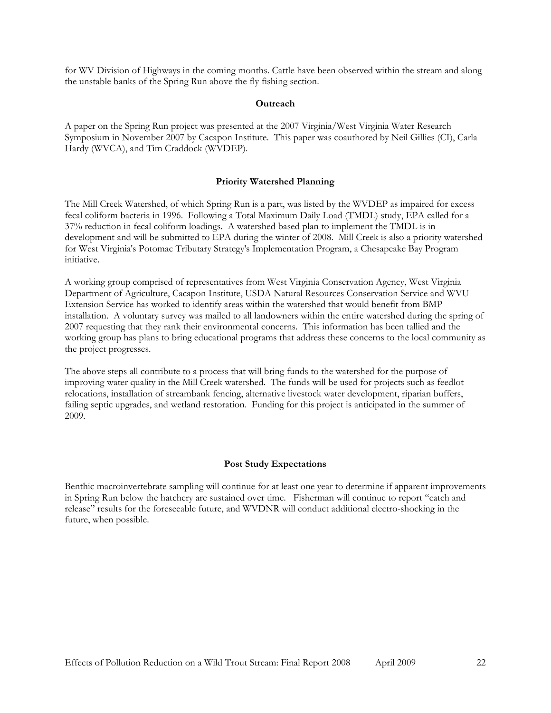<span id="page-21-0"></span>for WV Division of Highways in the coming months. Cattle have been observed within the stream and along the unstable banks of the Spring Run above the fly fishing section.

#### **Outreach**

<span id="page-21-1"></span>A paper on the Spring Run project was presented at the 2007 Virginia/West Virginia Water Research Symposium in November 2007 by Cacapon Institute. This paper was coauthored by Neil Gillies (CI), Carla Hardy (WVCA), and Tim Craddock (WVDEP).

#### **Priority Watershed Planning**

<span id="page-21-2"></span>The Mill Creek Watershed, of which Spring Run is a part, was listed by the WVDEP as impaired for excess fecal coliform bacteria in 1996. Following a Total Maximum Daily Load (TMDL) study, EPA called for a 37% reduction in fecal coliform loadings. A watershed based plan to implement the TMDL is in development and will be submitted to EPA during the winter of 2008. Mill Creek is also a priority watershed for West Virginia's Potomac Tributary Strategy's Implementation Program, a Chesapeake Bay Program initiative.

A working group comprised of representatives from West Virginia Conservation Agency, West Virginia Department of Agriculture, Cacapon Institute, USDA Natural Resources Conservation Service and WVU Extension Service has worked to identify areas within the watershed that would benefit from BMP installation. A voluntary survey was mailed to all landowners within the entire watershed during the spring of 2007 requesting that they rank their environmental concerns. This information has been tallied and the working group has plans to bring educational programs that address these concerns to the local community as the project progresses.

The above steps all contribute to a process that will bring funds to the watershed for the purpose of improving water quality in the Mill Creek watershed. The funds will be used for projects such as feedlot relocations, installation of streambank fencing, alternative livestock water development, riparian buffers, failing septic upgrades, and wetland restoration. Funding for this project is anticipated in the summer of 2009.

### **Post Study Expectations**

<span id="page-21-3"></span>Benthic macroinvertebrate sampling will continue for at least one year to determine if apparent improvements in Spring Run below the hatchery are sustained over time. Fisherman will continue to report "catch and release" results for the foreseeable future, and WVDNR will conduct additional electro-shocking in the future, when possible.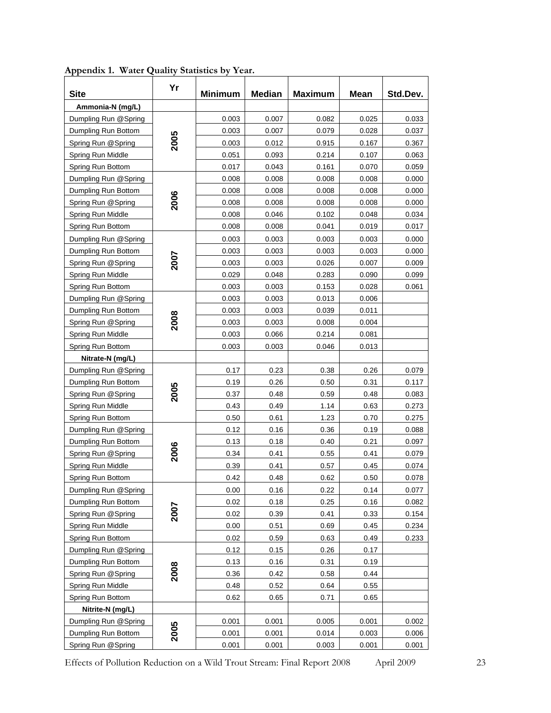<span id="page-22-1"></span>

| <b>Site</b>          | Yr   | <b>Minimum</b> | <b>Median</b> | <b>Maximum</b> | <b>Mean</b> | Std.Dev. |
|----------------------|------|----------------|---------------|----------------|-------------|----------|
| Ammonia-N (mg/L)     |      |                |               |                |             |          |
| Dumpling Run @Spring |      | 0.003          | 0.007         | 0.082          | 0.025       | 0.033    |
| Dumpling Run Bottom  |      | 0.003          | 0.007         | 0.079          | 0.028       | 0.037    |
| Spring Run @Spring   | 2005 | 0.003          | 0.012         | 0.915          | 0.167       | 0.367    |
| Spring Run Middle    |      | 0.051          | 0.093         | 0.214          | 0.107       | 0.063    |
| Spring Run Bottom    |      | 0.017          | 0.043         | 0.161          | 0.070       | 0.059    |
| Dumpling Run @Spring |      | 0.008          | 0.008         | 0.008          | 0.008       | 0.000    |
| Dumpling Run Bottom  |      | 0.008          | 0.008         | 0.008          | 0.008       | 0.000    |
| Spring Run @Spring   | 2006 | 0.008          | 0.008         | 0.008          | 0.008       | 0.000    |
| Spring Run Middle    |      | 0.008          | 0.046         | 0.102          | 0.048       | 0.034    |
| Spring Run Bottom    |      | 0.008          | 0.008         | 0.041          | 0.019       | 0.017    |
| Dumpling Run @Spring |      | 0.003          | 0.003         | 0.003          | 0.003       | 0.000    |
| Dumpling Run Bottom  |      | 0.003          | 0.003         | 0.003          | 0.003       | 0.000    |
| Spring Run @Spring   | 2007 | 0.003          | 0.003         | 0.026          | 0.007       | 0.009    |
| Spring Run Middle    |      | 0.029          | 0.048         | 0.283          | 0.090       | 0.099    |
| Spring Run Bottom    |      | 0.003          | 0.003         | 0.153          | 0.028       | 0.061    |
| Dumpling Run @Spring |      | 0.003          | 0.003         | 0.013          | 0.006       |          |
| Dumpling Run Bottom  |      | 0.003          | 0.003         | 0.039          | 0.011       |          |
| Spring Run @Spring   | 2008 | 0.003          | 0.003         | 0.008          | 0.004       |          |
| Spring Run Middle    |      | 0.003          | 0.066         | 0.214          | 0.081       |          |
| Spring Run Bottom    |      | 0.003          | 0.003         | 0.046          | 0.013       |          |
| Nitrate-N (mg/L)     |      |                |               |                |             |          |
| Dumpling Run @Spring |      | 0.17           | 0.23          | 0.38           | 0.26        | 0.079    |
| Dumpling Run Bottom  |      | 0.19           | 0.26          | 0.50           | 0.31        | 0.117    |
| Spring Run @Spring   | 2005 | 0.37           | 0.48          | 0.59           | 0.48        | 0.083    |
| Spring Run Middle    |      | 0.43           | 0.49          | 1.14           | 0.63        | 0.273    |
| Spring Run Bottom    |      | 0.50           | 0.61          | 1.23           | 0.70        | 0.275    |
| Dumpling Run @Spring |      | 0.12           | 0.16          | 0.36           | 0.19        | 0.088    |
| Dumpling Run Bottom  |      | 0.13           | 0.18          | 0.40           | 0.21        | 0.097    |
| Spring Run @Spring   | 2006 | 0.34           | 0.41          | 0.55           | 0.41        | 0.079    |
| Spring Run Middle    |      | 0.39           | 0.41          | 0.57           | 0.45        | 0.074    |
| Spring Run Bottom    |      | 0.42           | 0.48          | 0.62           | 0.50        | 0.078    |
| Dumpling Run @Spring |      | 0.00           | 0.16          | 0.22           | 0.14        | 0.077    |
| Dumpling Run Bottom  |      | 0.02           | 0.18          | 0.25           | 0.16        | 0.082    |
| Spring Run @Spring   | 2007 | 0.02           | 0.39          | 0.41           | 0.33        | 0.154    |
| Spring Run Middle    |      | 0.00           | 0.51          | 0.69           | 0.45        | 0.234    |
| Spring Run Bottom    |      | 0.02           | 0.59          | 0.63           | 0.49        | 0.233    |
| Dumpling Run @Spring |      | 0.12           | 0.15          | 0.26           | 0.17        |          |
| Dumpling Run Bottom  |      | 0.13           | 0.16          | 0.31           | 0.19        |          |
| Spring Run @Spring   | 2008 | 0.36           | 0.42          | 0.58           | 0.44        |          |
| Spring Run Middle    |      | 0.48           | 0.52          | 0.64           | 0.55        |          |
| Spring Run Bottom    |      | 0.62           | 0.65          | 0.71           | 0.65        |          |
| Nitrite-N (mg/L)     |      |                |               |                |             |          |
| Dumpling Run @Spring |      | 0.001          | 0.001         | 0.005          | 0.001       | 0.002    |
| Dumpling Run Bottom  | 2005 | 0.001          | 0.001         | 0.014          | 0.003       | 0.006    |
| Spring Run @Spring   |      | 0.001          | 0.001         | 0.003          | 0.001       | 0.001    |

<span id="page-22-0"></span>**Appendix 1. Water Quality Statistics by Year.**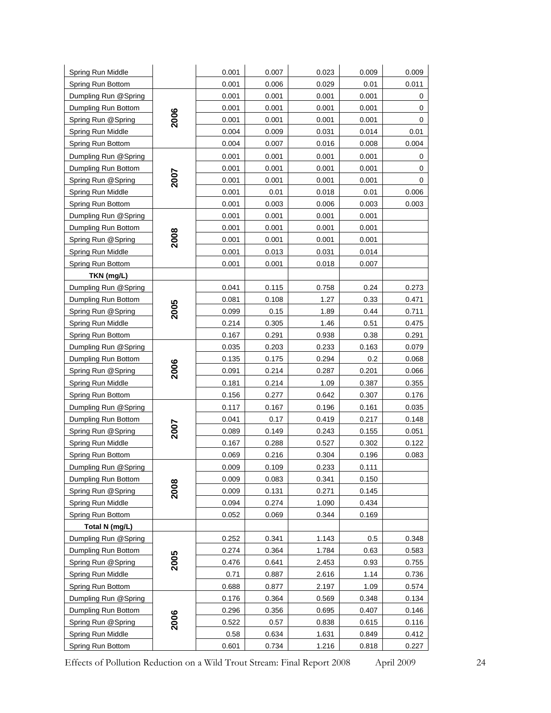| Spring Run Middle    |             | 0.001 | 0.007 | 0.023 | 0.009 | 0.009 |
|----------------------|-------------|-------|-------|-------|-------|-------|
| Spring Run Bottom    |             | 0.001 | 0.006 | 0.029 | 0.01  | 0.011 |
| Dumpling Run @Spring |             | 0.001 | 0.001 | 0.001 | 0.001 | 0     |
| Dumpling Run Bottom  |             | 0.001 | 0.001 | 0.001 | 0.001 | 0     |
| Spring Run @Spring   | 2006        | 0.001 | 0.001 | 0.001 | 0.001 | 0     |
| Spring Run Middle    |             | 0.004 | 0.009 | 0.031 | 0.014 | 0.01  |
| Spring Run Bottom    |             | 0.004 | 0.007 | 0.016 | 0.008 | 0.004 |
| Dumpling Run @Spring |             | 0.001 | 0.001 | 0.001 | 0.001 | 0     |
| Dumpling Run Bottom  |             | 0.001 | 0.001 | 0.001 | 0.001 | 0     |
| Spring Run @Spring   | <b>2007</b> | 0.001 | 0.001 | 0.001 | 0.001 | 0     |
| Spring Run Middle    |             | 0.001 | 0.01  | 0.018 | 0.01  | 0.006 |
| Spring Run Bottom    |             | 0.001 | 0.003 | 0.006 | 0.003 | 0.003 |
| Dumpling Run @Spring |             | 0.001 | 0.001 | 0.001 | 0.001 |       |
| Dumpling Run Bottom  |             | 0.001 | 0.001 | 0.001 | 0.001 |       |
| Spring Run @Spring   | 2008        | 0.001 | 0.001 | 0.001 | 0.001 |       |
| Spring Run Middle    |             | 0.001 | 0.013 | 0.031 | 0.014 |       |
| Spring Run Bottom    |             | 0.001 | 0.001 | 0.018 | 0.007 |       |
| TKN (mg/L)           |             |       |       |       |       |       |
| Dumpling Run @Spring |             | 0.041 | 0.115 | 0.758 | 0.24  | 0.273 |
| Dumpling Run Bottom  |             | 0.081 | 0.108 | 1.27  | 0.33  | 0.471 |
| Spring Run @Spring   | 2005        | 0.099 | 0.15  | 1.89  | 0.44  | 0.711 |
| Spring Run Middle    |             | 0.214 | 0.305 | 1.46  | 0.51  | 0.475 |
| Spring Run Bottom    |             | 0.167 | 0.291 | 0.938 | 0.38  | 0.291 |
| Dumpling Run @Spring |             | 0.035 | 0.203 | 0.233 | 0.163 | 0.079 |
| Dumpling Run Bottom  |             | 0.135 | 0.175 | 0.294 | 0.2   | 0.068 |
| Spring Run @Spring   | 2006        | 0.091 | 0.214 | 0.287 | 0.201 | 0.066 |
| Spring Run Middle    |             | 0.181 | 0.214 | 1.09  | 0.387 | 0.355 |
| Spring Run Bottom    |             | 0.156 | 0.277 | 0.642 | 0.307 | 0.176 |
| Dumpling Run @Spring |             | 0.117 | 0.167 | 0.196 | 0.161 | 0.035 |
| Dumpling Run Bottom  |             | 0.041 | 0.17  | 0.419 | 0.217 | 0.148 |
| Spring Run @Spring   | 2007        | 0.089 | 0.149 | 0.243 | 0.155 | 0.051 |
| Spring Run Middle    |             | 0.167 | 0.288 | 0.527 | 0.302 | 0.122 |
| Spring Run Bottom    |             | 0.069 | 0.216 | 0.304 | 0.196 | 0.083 |
| Dumpling Run @Spring |             | 0.009 | 0.109 | 0.233 | 0.111 |       |
| Dumpling Run Bottom  |             | 0.009 | 0.083 | 0.341 | 0.150 |       |
| Spring Run @Spring   | 2008        | 0.009 | 0.131 | 0.271 | 0.145 |       |
| Spring Run Middle    |             | 0.094 | 0.274 | 1.090 | 0.434 |       |
| Spring Run Bottom    |             | 0.052 | 0.069 | 0.344 | 0.169 |       |
| Total N (mg/L)       |             |       |       |       |       |       |
| Dumpling Run @Spring |             | 0.252 | 0.341 | 1.143 | 0.5   | 0.348 |
| Dumpling Run Bottom  |             | 0.274 | 0.364 | 1.784 | 0.63  | 0.583 |
| Spring Run @Spring   | 2005        | 0.476 | 0.641 | 2.453 | 0.93  | 0.755 |
| Spring Run Middle    |             | 0.71  | 0.887 | 2.616 | 1.14  | 0.736 |
| Spring Run Bottom    |             | 0.688 | 0.877 | 2.197 | 1.09  | 0.574 |
| Dumpling Run @Spring |             | 0.176 | 0.364 | 0.569 | 0.348 | 0.134 |
| Dumpling Run Bottom  |             | 0.296 | 0.356 | 0.695 | 0.407 | 0.146 |
| Spring Run @Spring   | 2006        | 0.522 | 0.57  | 0.838 | 0.615 | 0.116 |
| Spring Run Middle    |             | 0.58  | 0.634 | 1.631 | 0.849 | 0.412 |
| Spring Run Bottom    |             | 0.601 | 0.734 | 1.216 | 0.818 | 0.227 |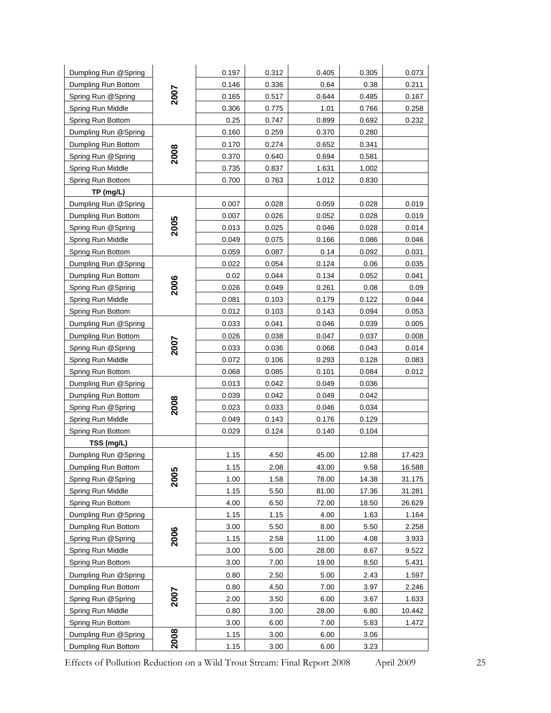| Dumpling Run @Spring |             | 0.197 | 0.312 | 0.405 | 0.305 | 0.073  |
|----------------------|-------------|-------|-------|-------|-------|--------|
| Dumpling Run Bottom  |             | 0.146 | 0.336 | 0.64  | 0.38  | 0.211  |
| Spring Run @Spring   | 2007        | 0.165 | 0.517 | 0.644 | 0.485 | 0.167  |
| Spring Run Middle    |             | 0.306 | 0.775 | 1.01  | 0.766 | 0.258  |
| Spring Run Bottom    |             | 0.25  | 0.747 | 0.899 | 0.692 | 0.232  |
| Dumpling Run @Spring |             | 0.160 | 0.259 | 0.370 | 0.280 |        |
| Dumpling Run Bottom  |             | 0.170 | 0.274 | 0.652 | 0.341 |        |
| Spring Run @Spring   | 2008        | 0.370 | 0.640 | 0.694 | 0.581 |        |
| Spring Run Middle    |             | 0.735 | 0.837 | 1.631 | 1.002 |        |
| Spring Run Bottom    |             | 0.700 | 0.763 | 1.012 | 0.830 |        |
| TP (mg/L)            |             |       |       |       |       |        |
| Dumpling Run @Spring |             | 0.007 | 0.028 | 0.059 | 0.028 | 0.019  |
| Dumpling Run Bottom  |             | 0.007 | 0.026 | 0.052 | 0.028 | 0.019  |
| Spring Run @Spring   | 2005        | 0.013 | 0.025 | 0.046 | 0.028 | 0.014  |
| Spring Run Middle    |             | 0.049 | 0.075 | 0.166 | 0.086 | 0.046  |
| Spring Run Bottom    |             | 0.059 | 0.087 | 0.14  | 0.092 | 0.031  |
| Dumpling Run @Spring |             | 0.022 | 0.054 | 0.124 | 0.06  | 0.035  |
| Dumpling Run Bottom  |             | 0.02  | 0.044 | 0.134 | 0.052 | 0.041  |
| Spring Run @Spring   | 2006        | 0.026 | 0.049 | 0.261 | 0.08  | 0.09   |
| Spring Run Middle    |             | 0.081 | 0.103 | 0.179 | 0.122 | 0.044  |
| Spring Run Bottom    |             | 0.012 | 0.103 | 0.143 | 0.094 | 0.053  |
| Dumpling Run @Spring |             | 0.033 | 0.041 | 0.046 | 0.039 | 0.005  |
| Dumpling Run Bottom  |             | 0.026 | 0.038 | 0.047 | 0.037 | 0.008  |
| Spring Run @Spring   | 2007        | 0.033 | 0.036 | 0.068 | 0.043 | 0.014  |
| Spring Run Middle    |             | 0.072 | 0.106 | 0.293 | 0.128 | 0.083  |
| Spring Run Bottom    |             | 0.068 | 0.085 | 0.101 | 0.084 | 0.012  |
| Dumpling Run @Spring |             | 0.013 | 0.042 | 0.049 | 0.036 |        |
| Dumpling Run Bottom  |             | 0.039 | 0.042 | 0.049 | 0.042 |        |
| Spring Run @Spring   | 2008        | 0.023 | 0.033 | 0.046 | 0.034 |        |
| Spring Run Middle    |             | 0.049 | 0.143 | 0.176 | 0.129 |        |
| Spring Run Bottom    |             | 0.029 | 0.124 | 0.140 | 0.104 |        |
| TSS (mg/L)           |             |       |       |       |       |        |
| Dumpling Run @Spring |             | 1.15  | 4.50  | 45.00 | 12.88 | 17.423 |
| Dumpling Run Bottom  |             | 1.15  | 2.08  | 43.00 | 9.58  | 16.588 |
| Spring Run @Spring   | 2005        | 1.00  | 1.58  | 78.00 | 14.38 | 31.175 |
| Spring Run Middle    |             | 1.15  | 5.50  | 81.00 | 17.36 | 31.281 |
| Spring Run Bottom    |             | 4.00  | 6.50  | 72.00 | 18.50 | 26.629 |
| Dumpling Run @Spring |             | 1.15  | 1.15  | 4.00  | 1.63  | 1.164  |
| Dumpling Run Bottom  | 2006        | 3.00  | 5.50  | 8.00  | 5.50  | 2.258  |
| Spring Run @Spring   |             | 1.15  | 2.58  | 11.00 | 4.08  | 3.933  |
| Spring Run Middle    |             | 3.00  | 5.00  | 28.00 | 8.67  | 9.522  |
| Spring Run Bottom    |             | 3.00  | 7.00  | 19.00 | 8.50  | 5.431  |
| Dumpling Run @Spring |             | 0.80  | 2.50  | 5.00  | 2.43  | 1.597  |
| Dumpling Run Bottom  | <b>2007</b> | 0.80  | 4.50  | 7.00  | 3.97  | 2.246  |
| Spring Run @Spring   |             | 2.00  | 3.50  | 6.00  | 3.67  | 1.633  |
| Spring Run Middle    |             | 0.80  | 3.00  | 28.00 | 6.80  | 10.442 |
| Spring Run Bottom    |             | 3.00  | 6.00  | 7.00  | 5.83  | 1.472  |
| Dumpling Run @Spring | 2008        | 1.15  | 3.00  | 6.00  | 3.06  |        |
| Dumpling Run Bottom  |             | 1.15  | 3.00  | 6.00  | 3.23  |        |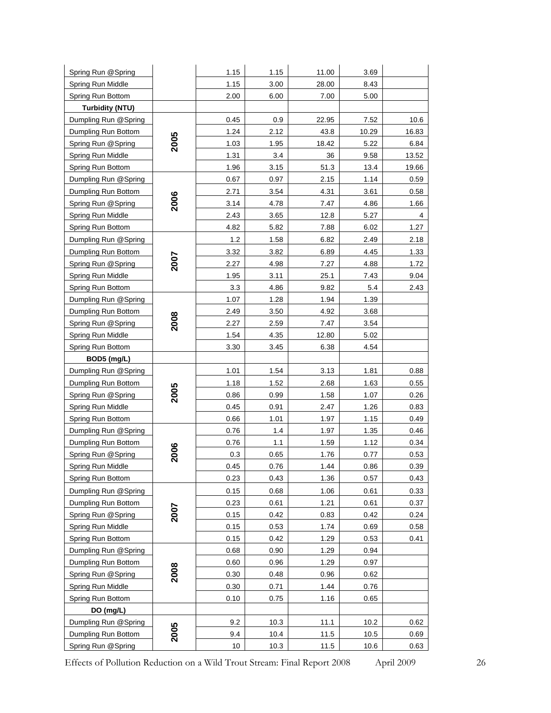| Spring Run @Spring     |             | 1.15 | 1.15 | 11.00 | 3.69  |       |
|------------------------|-------------|------|------|-------|-------|-------|
| Spring Run Middle      |             | 1.15 | 3.00 | 28.00 | 8.43  |       |
| Spring Run Bottom      |             | 2.00 | 6.00 | 7.00  | 5.00  |       |
| <b>Turbidity (NTU)</b> |             |      |      |       |       |       |
| Dumpling Run @Spring   |             | 0.45 | 0.9  | 22.95 | 7.52  | 10.6  |
| Dumpling Run Bottom    |             | 1.24 | 2.12 | 43.8  | 10.29 | 16.83 |
| Spring Run @Spring     | 2005        | 1.03 | 1.95 | 18.42 | 5.22  | 6.84  |
| Spring Run Middle      |             | 1.31 | 3.4  | 36    | 9.58  | 13.52 |
| Spring Run Bottom      |             | 1.96 | 3.15 | 51.3  | 13.4  | 19.66 |
| Dumpling Run @Spring   |             | 0.67 | 0.97 | 2.15  | 1.14  | 0.59  |
| Dumpling Run Bottom    |             | 2.71 | 3.54 | 4.31  | 3.61  | 0.58  |
| Spring Run @Spring     | 2006        | 3.14 | 4.78 | 7.47  | 4.86  | 1.66  |
| Spring Run Middle      |             | 2.43 | 3.65 | 12.8  | 5.27  | 4     |
| Spring Run Bottom      |             | 4.82 | 5.82 | 7.88  | 6.02  | 1.27  |
| Dumpling Run @Spring   |             | 1.2  | 1.58 | 6.82  | 2.49  | 2.18  |
| Dumpling Run Bottom    |             | 3.32 | 3.82 | 6.89  | 4.45  | 1.33  |
| Spring Run @Spring     | <b>2007</b> | 2.27 | 4.98 | 7.27  | 4.88  | 1.72  |
| Spring Run Middle      |             | 1.95 | 3.11 | 25.1  | 7.43  | 9.04  |
| Spring Run Bottom      |             | 3.3  | 4.86 | 9.82  | 5.4   | 2.43  |
| Dumpling Run @Spring   |             | 1.07 | 1.28 | 1.94  | 1.39  |       |
| Dumpling Run Bottom    |             | 2.49 | 3.50 | 4.92  | 3.68  |       |
| Spring Run @Spring     | 2008        | 2.27 | 2.59 | 7.47  | 3.54  |       |
| Spring Run Middle      |             | 1.54 | 4.35 | 12.80 | 5.02  |       |
| Spring Run Bottom      |             | 3.30 | 3.45 | 6.38  | 4.54  |       |
| BOD5 (mg/L)            |             |      |      |       |       |       |
| Dumpling Run @Spring   |             | 1.01 | 1.54 | 3.13  | 1.81  | 0.88  |
| Dumpling Run Bottom    |             | 1.18 | 1.52 | 2.68  | 1.63  | 0.55  |
| Spring Run @Spring     | 2005        | 0.86 | 0.99 | 1.58  | 1.07  | 0.26  |
| Spring Run Middle      |             | 0.45 | 0.91 | 2.47  | 1.26  | 0.83  |
| Spring Run Bottom      |             | 0.66 | 1.01 | 1.97  | 1.15  | 0.49  |
| Dumpling Run @Spring   |             | 0.76 | 1.4  | 1.97  | 1.35  | 0.46  |
| Dumpling Run Bottom    |             | 0.76 | 1.1  | 1.59  | 1.12  | 0.34  |
| Spring Run @Spring     | 2006        | 0.3  | 0.65 | 1.76  | 0.77  | 0.53  |
| Spring Run Middle      |             | 0.45 | 0.76 | 1.44  | 0.86  | 0.39  |
| Spring Run Bottom      |             | 0.23 | 0.43 | 1.36  | 0.57  | 0.43  |
| Dumpling Run @Spring   |             | 0.15 | 0.68 | 1.06  | 0.61  | 0.33  |
| Dumpling Run Bottom    |             | 0.23 | 0.61 | 1.21  | 0.61  | 0.37  |
| Spring Run @Spring     | 2007        | 0.15 | 0.42 | 0.83  | 0.42  | 0.24  |
| Spring Run Middle      |             | 0.15 | 0.53 | 1.74  | 0.69  | 0.58  |
| Spring Run Bottom      |             | 0.15 | 0.42 | 1.29  | 0.53  | 0.41  |
| Dumpling Run @Spring   |             | 0.68 | 0.90 | 1.29  | 0.94  |       |
| Dumpling Run Bottom    |             | 0.60 | 0.96 | 1.29  | 0.97  |       |
| Spring Run @Spring     | 2008        | 0.30 | 0.48 | 0.96  | 0.62  |       |
| Spring Run Middle      |             | 0.30 | 0.71 | 1.44  | 0.76  |       |
| Spring Run Bottom      |             | 0.10 | 0.75 | 1.16  | 0.65  |       |
| DO (mg/L)              |             |      |      |       |       |       |
| Dumpling Run @Spring   |             | 9.2  | 10.3 | 11.1  | 10.2  | 0.62  |
| Dumpling Run Bottom    | 2005        | 9.4  | 10.4 | 11.5  | 10.5  | 0.69  |
| Spring Run @Spring     |             | 10   | 10.3 | 11.5  | 10.6  | 0.63  |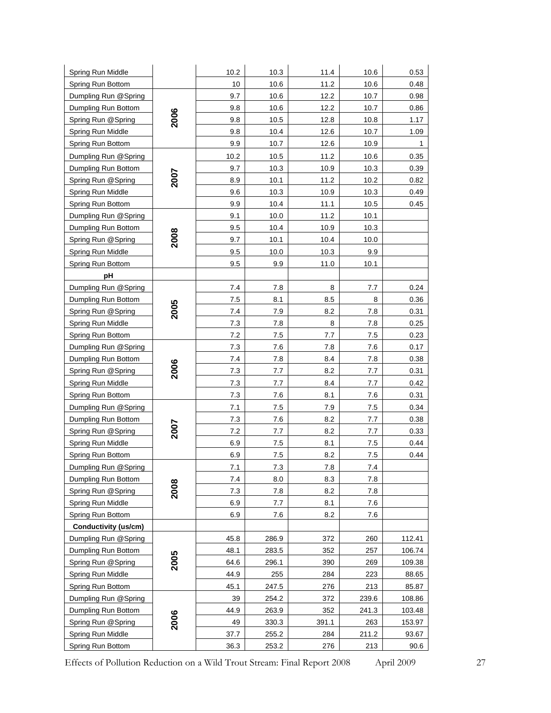| Spring Run Middle    |      | 10.2 | 10.3    | 11.4    | 10.6  | 0.53   |
|----------------------|------|------|---------|---------|-------|--------|
| Spring Run Bottom    |      | 10   | 10.6    | 11.2    | 10.6  | 0.48   |
| Dumpling Run @Spring |      | 9.7  | 10.6    | 12.2    | 10.7  | 0.98   |
| Dumpling Run Bottom  |      | 9.8  | 10.6    | 12.2    | 10.7  | 0.86   |
| Spring Run @Spring   | 2006 | 9.8  | 10.5    | 12.8    | 10.8  | 1.17   |
| Spring Run Middle    |      | 9.8  | 10.4    | 12.6    | 10.7  | 1.09   |
| Spring Run Bottom    |      | 9.9  | 10.7    | 12.6    | 10.9  | 1      |
| Dumpling Run @Spring |      | 10.2 | 10.5    | 11.2    | 10.6  | 0.35   |
| Dumpling Run Bottom  |      | 9.7  | 10.3    | 10.9    | 10.3  | 0.39   |
| Spring Run @Spring   | 2007 | 8.9  | 10.1    | 11.2    | 10.2  | 0.82   |
| Spring Run Middle    |      | 9.6  | 10.3    | 10.9    | 10.3  | 0.49   |
| Spring Run Bottom    |      | 9.9  | 10.4    | 11.1    | 10.5  | 0.45   |
| Dumpling Run @Spring |      | 9.1  | 10.0    | 11.2    | 10.1  |        |
| Dumpling Run Bottom  |      | 9.5  | 10.4    | 10.9    | 10.3  |        |
| Spring Run @Spring   | 2008 | 9.7  | 10.1    | 10.4    | 10.0  |        |
| Spring Run Middle    |      | 9.5  | 10.0    | 10.3    | 9.9   |        |
| Spring Run Bottom    |      | 9.5  | 9.9     | 11.0    | 10.1  |        |
| pH                   |      |      |         |         |       |        |
| Dumpling Run @Spring |      | 7.4  | 7.8     | 8       | 7.7   | 0.24   |
| Dumpling Run Bottom  |      | 7.5  | 8.1     | 8.5     | 8     | 0.36   |
| Spring Run @Spring   | 2005 | 7.4  | 7.9     | 8.2     | 7.8   | 0.31   |
| Spring Run Middle    |      | 7.3  | 7.8     | 8       | 7.8   | 0.25   |
| Spring Run Bottom    |      | 7.2  | 7.5     | 7.7     | 7.5   | 0.23   |
| Dumpling Run @Spring |      | 7.3  | 7.6     | 7.8     | 7.6   | 0.17   |
| Dumpling Run Bottom  |      | 7.4  | 7.8     | 8.4     | 7.8   | 0.38   |
| Spring Run @Spring   | 2006 | 7.3  | 7.7     | 8.2     | 7.7   | 0.31   |
| Spring Run Middle    |      | 7.3  | 7.7     | 8.4     | 7.7   | 0.42   |
| Spring Run Bottom    |      | 7.3  | 7.6     | 8.1     | 7.6   | 0.31   |
| Dumpling Run @Spring |      | 7.1  | 7.5     | 7.9     | 7.5   | 0.34   |
| Dumpling Run Bottom  |      | 7.3  | 7.6     | 8.2     | 7.7   | 0.38   |
| Spring Run @Spring   | 2007 | 7.2  | 7.7     | 8.2     | 7.7   | 0.33   |
| Spring Run Middle    |      | 6.9  | 7.5     | 8.1     | 7.5   | 0.44   |
| Spring Run Bottom    |      | 6.9  | $7.5\,$ | 8.2     | 7.5   | 0.44   |
| Dumpling Run @Spring |      | 7.1  | $7.3$   | $7.8\,$ | 7.4   |        |
| Dumpling Run Bottom  |      | 7.4  | 8.0     | 8.3     | 7.8   |        |
| Spring Run @Spring   | 2008 | 7.3  | 7.8     | 8.2     | 7.8   |        |
| Spring Run Middle    |      | 6.9  | 7.7     | 8.1     | 7.6   |        |
| Spring Run Bottom    |      | 6.9  | 7.6     | 8.2     | 7.6   |        |
| Conductivity (us/cm) |      |      |         |         |       |        |
| Dumpling Run @Spring |      | 45.8 | 286.9   | 372     | 260   | 112.41 |
| Dumpling Run Bottom  |      | 48.1 | 283.5   | 352     | 257   | 106.74 |
| Spring Run @Spring   | 2005 | 64.6 | 296.1   | 390     | 269   | 109.38 |
| Spring Run Middle    |      | 44.9 | 255     | 284     | 223   | 88.65  |
| Spring Run Bottom    |      | 45.1 | 247.5   | 276     | 213   | 85.87  |
| Dumpling Run @Spring |      | 39   | 254.2   | 372     | 239.6 | 108.86 |
| Dumpling Run Bottom  | 2006 | 44.9 | 263.9   | 352     | 241.3 | 103.48 |
| Spring Run @Spring   |      | 49   | 330.3   | 391.1   | 263   | 153.97 |
| Spring Run Middle    |      | 37.7 | 255.2   | 284     | 211.2 | 93.67  |
| Spring Run Bottom    |      | 36.3 | 253.2   | 276     | 213   | 90.6   |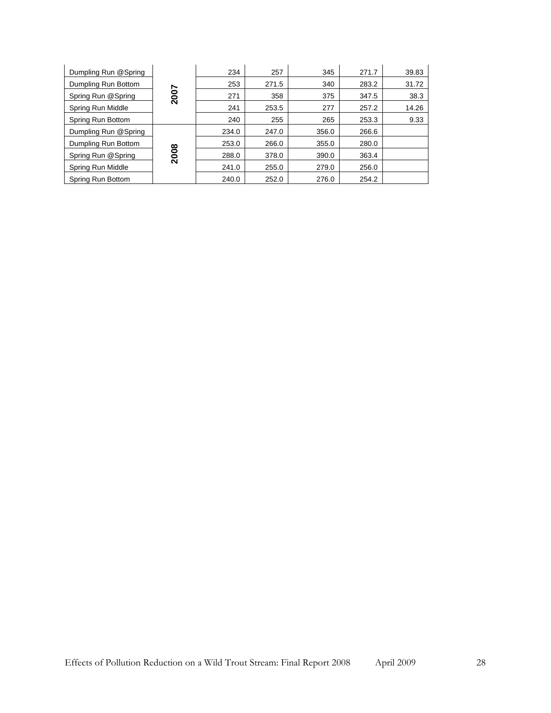| Dumpling Run @Spring |      | 234   | 257   | 345   | 271.7 | 39.83 |
|----------------------|------|-------|-------|-------|-------|-------|
| Dumpling Run Bottom  |      | 253   | 271.5 | 340   | 283.2 | 31.72 |
| Spring Run @Spring   | 2007 | 271   | 358   | 375   | 347.5 | 38.3  |
| Spring Run Middle    |      | 241   | 253.5 | 277   | 257.2 | 14.26 |
| Spring Run Bottom    |      | 240   | 255   | 265   | 253.3 | 9.33  |
| Dumpling Run @Spring |      | 234.0 | 247.0 | 356.0 | 266.6 |       |
| Dumpling Run Bottom  |      | 253.0 | 266.0 | 355.0 | 280.0 |       |
| Spring Run @Spring   | 2008 | 288.0 | 378.0 | 390.0 | 363.4 |       |
| Spring Run Middle    |      | 241.0 | 255.0 | 279.0 | 256.0 |       |
| Spring Run Bottom    |      | 240.0 | 252.0 | 276.0 | 254.2 |       |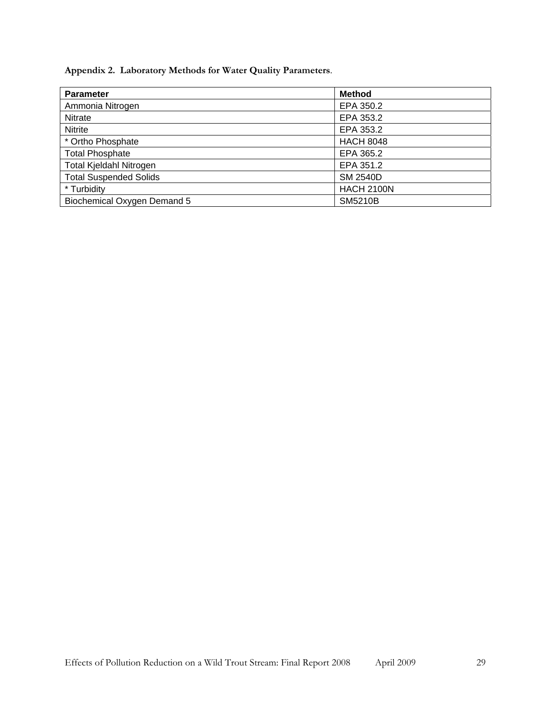<span id="page-28-0"></span>**Appendix 2. Laboratory Methods for Water Quality Parameters**.

<span id="page-28-1"></span>

| <b>Parameter</b>              | <b>Method</b>     |
|-------------------------------|-------------------|
| Ammonia Nitrogen              | EPA 350.2         |
| <b>Nitrate</b>                | EPA 353.2         |
| Nitrite                       | EPA 353.2         |
| * Ortho Phosphate             | <b>HACH 8048</b>  |
| <b>Total Phosphate</b>        | EPA 365.2         |
| Total Kjeldahl Nitrogen       | EPA 351.2         |
| <b>Total Suspended Solids</b> | <b>SM 2540D</b>   |
| * Turbidity                   | <b>HACH 2100N</b> |
| Biochemical Oxygen Demand 5   | <b>SM5210B</b>    |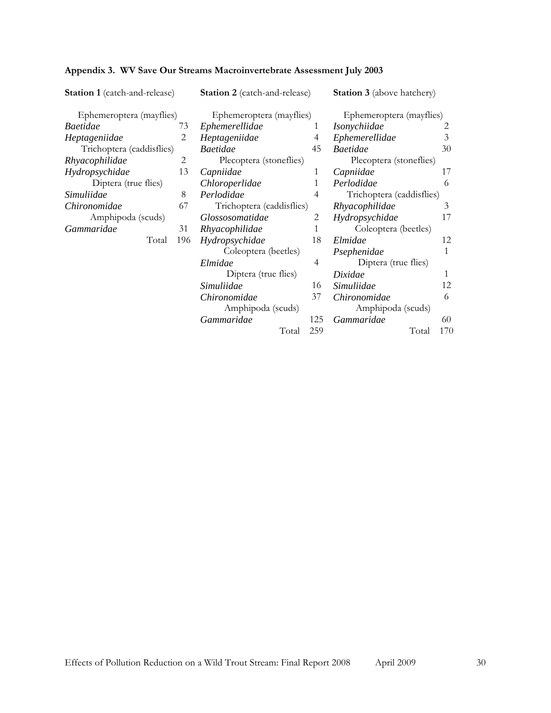| <b>Station 1</b> (catch-and-release) |     | <b>Station 2</b> (catch-and-release) |     | <b>Station 3</b> (above hatchery) |     |
|--------------------------------------|-----|--------------------------------------|-----|-----------------------------------|-----|
| Ephemeroptera (mayflies)             |     | Ephemeroptera (mayflies)             |     | Ephemeroptera (mayflies)          |     |
| <b>Baetidae</b>                      | 73  | Ephemerellidae<br>1                  |     | <i>Isonychiidae</i>               |     |
| Heptageniidae                        |     | Heptageniidae                        | 4   | Ephemerellidae                    | 3   |
| Trichoptera (caddisflies)            |     | <b>Baetidae</b>                      | 45  | <b>Baetidae</b>                   | 30  |
| Rhyacophilidae                       | 2   | Plecoptera (stoneflies)              |     | Plecoptera (stoneflies)           |     |
| Hydropsychidae                       | 13  | Capniidae                            | 1   | Capniidae                         | 17  |
| Diptera (true flies)                 |     | Chloroperlidae                       | 1   | Perlodidae                        | 6   |
| Simuliidae                           | 8   | Perlodidae                           | 4   | Trichoptera (caddisflies)         |     |
| Chironomidae                         | 67  | Trichoptera (caddisflies)            |     | Rhyacophilidae                    | 3   |
| Amphipoda (scuds)                    |     | <i>Glossosomatidae</i>               | 2   | Hydropsychidae                    | 17  |
| Gammaridae                           | 31  | Rhyacophilidae                       | 1   | Coleoptera (beetles)              |     |
| Total                                | 196 | Hydropsychidae                       | 18  | Elmidae                           | 12  |
|                                      |     | Coleoptera (beetles)                 |     | Psephenidae                       | 1   |
|                                      |     | Elmidae                              | 4   | Diptera (true flies)              |     |
|                                      |     | Diptera (true flies)                 |     | Dixidae                           | 1   |
|                                      |     | Simuliidae                           | 16  | Simuliidae                        | 12  |
|                                      |     | Chironomidae                         | 37  | Chironomidae                      | 6   |
|                                      |     | Amphipoda (scuds)                    |     | Amphipoda (scuds)                 |     |
|                                      |     | Gammaridae                           | 125 | Gammaridae                        | 60  |
|                                      |     | Total                                | 259 | Total                             | 170 |

# <span id="page-29-1"></span><span id="page-29-0"></span>**Appendix 3. WV Save Our Streams Macroinvertebrate Assessment July 2003**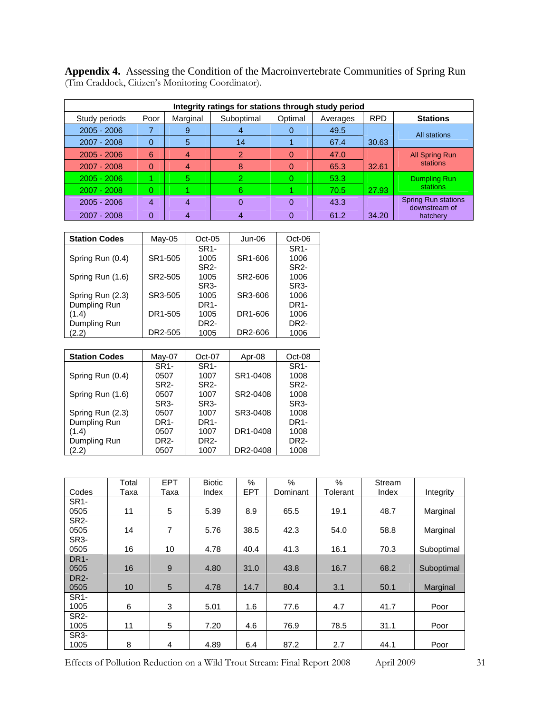<span id="page-30-1"></span><span id="page-30-0"></span>

| <b>Appendix 4.</b> Assessing the Condition of the Macroinvertebrate Communities of Spring Run |
|-----------------------------------------------------------------------------------------------|
| (Tim Craddock, Citizen's Monitoring Coordinator).                                             |

| Integrity ratings for stations through study period |      |                |            |         |          |            |                                             |  |  |  |  |  |
|-----------------------------------------------------|------|----------------|------------|---------|----------|------------|---------------------------------------------|--|--|--|--|--|
| Study periods                                       | Poor | Marginal       | Suboptimal | Optimal | Averages | <b>RPD</b> | <b>Stations</b>                             |  |  |  |  |  |
| $2005 - 2006$                                       |      | 9              | 4          |         | 49.5     |            | All stations                                |  |  |  |  |  |
| 2007 - 2008                                         | 0    | 5              | 14         |         | 67.4     | 30.63      |                                             |  |  |  |  |  |
| $2005 - 2006$                                       | 6    | 4              | 2          |         | 47.0     |            | <b>All Spring Run</b>                       |  |  |  |  |  |
| 2007 - 2008                                         | ი    | 4              | 8          |         | 65.3     | 32.61      | stations                                    |  |  |  |  |  |
| $2005 - 2006$                                       |      | $5^{\circ}$    | 2          |         | 53.3     |            | Dumpling Run                                |  |  |  |  |  |
| $2007 - 2008$                                       | 0    |                | 6          |         | 70.5     | 27.93      | stations                                    |  |  |  |  |  |
| $2005 - 2006$                                       | 4    | $\overline{4}$ | 0          |         | 43.3     |            | <b>Spring Run stations</b><br>downstream of |  |  |  |  |  |
| 2007 - 2008                                         | 0    | 4              | 4          |         | 61.2     | 34.20      | hatchery                                    |  |  |  |  |  |

| <b>Station Codes</b> | $May-05$ | $Oct-05$          | Jun-06  | $Oct-06$          |
|----------------------|----------|-------------------|---------|-------------------|
|                      |          | SR <sub>1</sub> - |         | SR <sub>1</sub> - |
| Spring Run (0.4)     | SR1-505  | 1005              | SR1-606 | 1006              |
|                      |          | SR <sub>2</sub> - |         | SR <sub>2</sub> - |
| Spring Run (1.6)     | SR2-505  | 1005              | SR2-606 | 1006              |
|                      |          | SR <sub>3</sub> - |         | SR <sub>3</sub> - |
| Spring Run (2.3)     | SR3-505  | 1005              | SR3-606 | 1006              |
| Dumpling Run         |          | DR1-              |         | DR <sub>1</sub> - |
| (1.4)                | DR1-505  | 1005              | DR1-606 | 1006              |
| Dumpling Run         |          | DR2-              |         | DR <sub>2</sub> - |
| (2.2)                | DR2-505  | 1005              | DR2-606 | 1006              |

| <b>Station Codes</b> | $May-07$          | Oct-07            | Apr-08   | $Oct-08$          |
|----------------------|-------------------|-------------------|----------|-------------------|
|                      | SR <sub>1</sub> - | SR <sub>1</sub> - |          | SR <sub>1</sub> - |
| Spring Run (0.4)     | 0507              | 1007              | SR1-0408 | 1008              |
|                      | SR <sub>2</sub> - | SR <sub>2</sub> - |          | SR <sub>2</sub> - |
| Spring Run (1.6)     | 0507              | 1007              | SR2-0408 | 1008              |
|                      | SR <sub>3</sub> - | SR <sub>3</sub> - |          | SR <sub>3</sub> - |
| Spring Run (2.3)     | 0507              | 1007              | SR3-0408 | 1008              |
| Dumpling Run         | DR1-              | DR1-              |          | DR <sub>1</sub> - |
| (1.4)                | 0507              | 1007              | DR1-0408 | 1008              |
| Dumpling Run         | DR2-              | DR2-              |          | DR <sub>2</sub> - |
| (2.2)                | 0507              | 1007              | DR2-0408 | 1008              |

|                   | Total | <b>EPT</b> | <b>Biotic</b> | $\%$       | $\frac{0}{0}$ | $\%$     | Stream |            |
|-------------------|-------|------------|---------------|------------|---------------|----------|--------|------------|
| Codes             | Taxa  | Таха       | Index         | <b>EPT</b> | Dominant      | Tolerant | Index  | Integrity  |
| SR <sub>1</sub> - |       |            |               |            |               |          |        |            |
| 0505              | 11    | 5          | 5.39          | 8.9        | 65.5          | 19.1     | 48.7   | Marginal   |
| <b>SR2-</b>       |       |            |               |            |               |          |        |            |
| 0505              | 14    | 7          | 5.76          | 38.5       | 42.3          | 54.0     | 58.8   | Marginal   |
| SR <sub>3</sub> - |       |            |               |            |               |          |        |            |
| 0505              | 16    | 10         | 4.78          | 40.4       | 41.3          | 16.1     | 70.3   | Suboptimal |
| DR <sub>1</sub> - |       |            |               |            |               |          |        |            |
| 0505              | 16    | 9          | 4.80          | 31.0       | 43.8          | 16.7     | 68.2   | Suboptimal |
| DR <sub>2</sub> - |       |            |               |            |               |          |        |            |
| 0505              | 10    | 5          | 4.78          | 14.7       | 80.4          | 3.1      | 50.1   | Marginal   |
| SR <sub>1</sub> - |       |            |               |            |               |          |        |            |
| 1005              | 6     | 3          | 5.01          | 1.6        | 77.6          | 4.7      | 41.7   | Poor       |
| <b>SR2-</b>       |       |            |               |            |               |          |        |            |
| 1005              | 11    | 5          | 7.20          | 4.6        | 76.9          | 78.5     | 31.1   | Poor       |
| SR <sub>3</sub> - |       |            |               |            |               |          |        |            |
| 1005              | 8     | 4          | 4.89          | 6.4        | 87.2          | 2.7      | 44.1   | Poor       |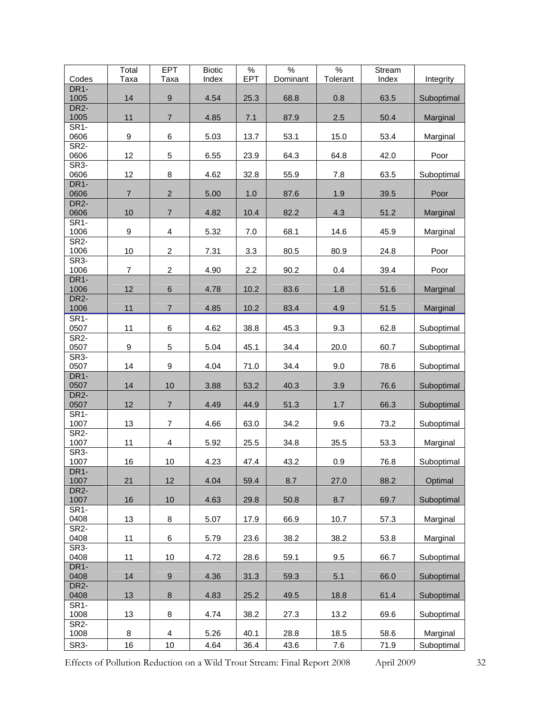| Codes                     | Total<br>Taxa    | <b>EPT</b><br>Taxa      | <b>Biotic</b><br>Index | $\%$<br><b>EPT</b> | $\frac{9}{6}$<br>Dominant | $\frac{0}{6}$<br>Tolerant | Stream<br>Index | Integrity  |
|---------------------------|------------------|-------------------------|------------------------|--------------------|---------------------------|---------------------------|-----------------|------------|
| DR <sub>1</sub> -         |                  |                         |                        |                    |                           |                           |                 |            |
| 1005                      | 14               | $\boldsymbol{9}$        | 4.54                   | 25.3               | 68.8                      | 0.8                       | 63.5            | Suboptimal |
| DR <sub>2</sub> -<br>1005 | 11               | $\overline{7}$          | 4.85                   | 7.1                | 87.9                      | 2.5                       | 50.4            | Marginal   |
| SR <sub>1</sub> -         |                  |                         |                        |                    |                           |                           |                 |            |
| 0606<br>SR <sub>2</sub> - | 9                | 6                       | 5.03                   | 13.7               | 53.1                      | 15.0                      | 53.4            | Marginal   |
| 0606                      | 12               | 5                       | 6.55                   | 23.9               | 64.3                      | 64.8                      | 42.0            | Poor       |
| SR <sub>3</sub> -         |                  |                         |                        |                    |                           |                           |                 |            |
| 0606<br>DR <sub>1</sub> - | 12               | 8                       | 4.62                   | 32.8               | 55.9                      | 7.8                       | 63.5            | Suboptimal |
| 0606                      | $\overline{7}$   | $\sqrt{2}$              | 5.00                   | 1.0                | 87.6                      | 1.9                       | 39.5            | Poor       |
| DR <sub>2</sub> -<br>0606 | 10               | $\overline{7}$          | 4.82                   | 10.4               | 82.2                      | 4.3                       | 51.2            | Marginal   |
| SR <sub>1</sub> -         |                  |                         |                        |                    |                           |                           |                 |            |
| 1006                      | 9                | $\overline{\mathbf{4}}$ | 5.32                   | 7.0                | 68.1                      | 14.6                      | 45.9            | Marginal   |
| SR <sub>2</sub> -<br>1006 | 10               | $\overline{c}$          | 7.31                   | 3.3                | 80.5                      | 80.9                      | 24.8            | Poor       |
| SR <sub>3</sub> -         |                  |                         |                        |                    |                           |                           |                 |            |
| 1006<br>DR <sub>1</sub> - | $\overline{7}$   | $\boldsymbol{2}$        | 4.90                   | 2.2                | 90.2                      | 0.4                       | 39.4            | Poor       |
| 1006                      | 12               | $\,6\,$                 | 4.78                   | 10.2               | 83.6                      | 1.8                       | 51.6            | Marginal   |
| DR <sub>2</sub> -<br>1006 | 11               | $\overline{7}$          | 4.85                   | 10.2               | 83.4                      | 4.9                       | 51.5            | Marginal   |
| SR <sub>1</sub> -         |                  |                         |                        |                    |                           |                           |                 |            |
| 0507                      | 11               | 6                       | 4.62                   | 38.8               | 45.3                      | 9.3                       | 62.8            | Suboptimal |
| SR <sub>2</sub> -<br>0507 | $\boldsymbol{9}$ | $\mathbf 5$             | 5.04                   | 45.1               | 34.4                      | 20.0                      | 60.7            | Suboptimal |
| SR <sub>3</sub> -         |                  |                         |                        |                    |                           |                           |                 |            |
| 0507<br>DR <sub>1</sub> - | 14               | 9                       | 4.04                   | 71.0               | 34.4                      | 9.0                       | 78.6            | Suboptimal |
| 0507                      | 14               | 10                      | 3.88                   | 53.2               | 40.3                      | 3.9                       | 76.6            | Suboptimal |
| DR <sub>2</sub> -         |                  |                         |                        |                    |                           |                           |                 |            |
| 0507<br>SR <sub>1</sub> - | 12               | $\overline{7}$          | 4.49                   | 44.9               | 51.3                      | 1.7                       | 66.3            | Suboptimal |
| 1007                      | 13               | $\overline{7}$          | 4.66                   | 63.0               | 34.2                      | 9.6                       | 73.2            | Suboptimal |
| SR <sub>2</sub> -<br>1007 | 11               | $\overline{\mathbf{4}}$ | 5.92                   | 25.5               | 34.8                      | 35.5                      | 53.3            | Marginal   |
| SR <sub>3</sub> -         |                  |                         |                        |                    |                           |                           |                 |            |
| 1007<br>DR <sub>1</sub> - | 16               | 10                      | 4.23                   | 47.4               | 43.2                      | 0.9                       | 76.8            | Suboptimal |
| 1007                      | 21               | 12                      | 4.04                   | 59.4               | 8.7                       | 27.0                      | 88.2            | Optimal    |
| DR <sub>2</sub> -         |                  | 10                      | 4.63                   |                    |                           | 8.7                       |                 | Suboptimal |
| 1007<br><b>SR1-</b>       | 16               |                         |                        | 29.8               | 50.8                      |                           | 69.7            |            |
| 0408                      | 13               | 8                       | 5.07                   | 17.9               | 66.9                      | 10.7                      | 57.3            | Marginal   |
| SR <sub>2</sub> -<br>0408 | 11               | 6                       | 5.79                   | 23.6               | 38.2                      | 38.2                      | 53.8            | Marginal   |
| SR <sub>3</sub> -         |                  |                         |                        |                    |                           |                           |                 |            |
| 0408<br>DR <sub>1</sub> - | 11               | 10                      | 4.72                   | 28.6               | 59.1                      | 9.5                       | 66.7            | Suboptimal |
| 0408                      | 14               | $\boldsymbol{9}$        | 4.36                   | 31.3               | 59.3                      | 5.1                       | 66.0            | Suboptimal |
| DR <sub>2</sub> -         |                  |                         |                        |                    |                           |                           |                 |            |
| 0408<br>SR <sub>1</sub> - | 13               | 8                       | 4.83                   | 25.2               | 49.5                      | 18.8                      | 61.4            | Suboptimal |
| 1008                      | 13               | 8                       | 4.74                   | 38.2               | 27.3                      | 13.2                      | 69.6            | Suboptimal |
| <b>SR2-</b><br>1008       | 8                | 4                       | 5.26                   | 40.1               | 28.8                      | 18.5                      | 58.6            | Marginal   |
| SR <sub>3</sub> -         | 16               | 10                      | 4.64                   | 36.4               | 43.6                      | 7.6                       | 71.9            | Suboptimal |